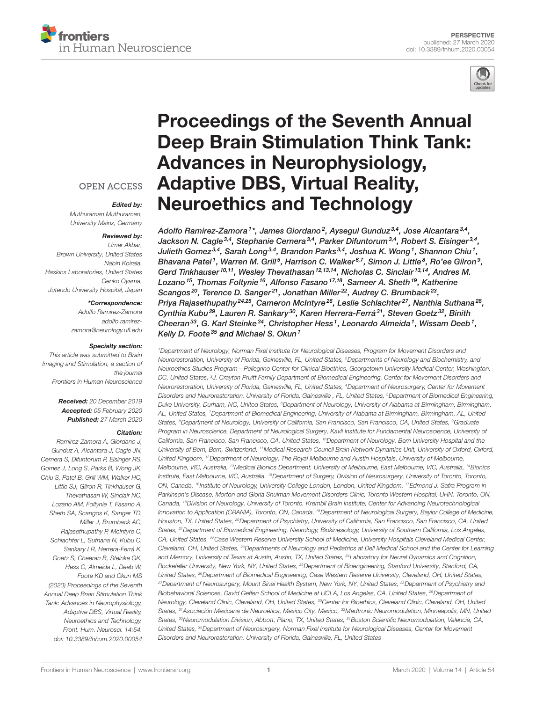



# [Proceedings of the Seventh Annual](https://www.frontiersin.org/articles/10.3389/fnhum.2020.00054/full) [Deep Brain Stimulation Think Tank:](https://www.frontiersin.org/articles/10.3389/fnhum.2020.00054/full) [Advances in Neurophysiology,](https://www.frontiersin.org/articles/10.3389/fnhum.2020.00054/full) [Adaptive DBS, Virtual Reality,](https://www.frontiersin.org/articles/10.3389/fnhum.2020.00054/full) [Neuroethics and Technology](https://www.frontiersin.org/articles/10.3389/fnhum.2020.00054/full)

[Adolfo Ramirez-Zamora](https://loop.frontiersin.org/people/87519/overview)<sup>1</sup>\*, [James Giordano](https://loop.frontiersin.org/people/188098/overview)<sup>2</sup>, [Aysegul Gunduz](https://loop.frontiersin.org/people/30609/overview)<sup>3,4</sup>, [Jose Alcantara](https://loop.frontiersin.org/people/912393/overview)<sup>3,4</sup>, [Jackson N. Cagle](https://loop.frontiersin.org/people/622594/overview) $^{3,4}$ , [Stephanie Cernera](https://loop.frontiersin.org/people/596812/overview) $^{3,4}$ , [Parker Difuntorum](https://loop.frontiersin.org/people/874066/overview) $^{3,4}$ , [Robert S. Eisinger](https://loop.frontiersin.org/people/417164/overview) $^{3,4}$ , [Julieth Gomez](https://loop.frontiersin.org/people/860316/overview)<sup>3,4</sup>, [Sarah Long](https://loop.frontiersin.org/people/903257/overview)<sup>3,4</sup>, [Brandon Parks](https://loop.frontiersin.org/people/874137/overview)<sup>3,4</sup>, [Joshua K. Wong](https://loop.frontiersin.org/people/615011/overview)<sup>1</sup>, Shannon Chiu<sup>1</sup>, [Bhavana Patel](https://loop.frontiersin.org/people/861472/overview) <sup>1</sup>, [Warren M. Grill](https://loop.frontiersin.org/people/4785/overview)<sup>5</sup>, [Harrison C. Walker](https://loop.frontiersin.org/people/654313/overview)<sup>6,7</sup>, Simon J. Little<sup>8</sup>, [Ro'ee Gilron](https://loop.frontiersin.org/people/141727/overview)<sup>9</sup>, [Gerd Tinkhauser](https://loop.frontiersin.org/people/847396/overview) <sup>10,11</sup>, Wesley Thevathasan <sup>12,13,14</sup>, [Nicholas C. Sinclair](https://loop.frontiersin.org/people/838675/overview) <sup>13,14</sup>, [Andres M.](https://loop.frontiersin.org/people/265842/overview) [Lozano](https://loop.frontiersin.org/people/265842/overview) <sup>15</sup>, [Thomas Foltynie](https://loop.frontiersin.org/people/387335/overview) <sup>16</sup>, Alfonso Fasano <sup>17,18</sup>, Sameer A. Sheth <sup>19</sup>, [Katherine](https://loop.frontiersin.org/people/879744/overview) [Scangos](https://loop.frontiersin.org/people/879744/overview)<sup>20</sup>, [Terence D. Sanger](https://loop.frontiersin.org/people/203574/overview)<sup>21</sup>, [Jonathan Miller](https://loop.frontiersin.org/people/202419/overview)<sup>22</sup>, [Audrey C. Brumback](https://loop.frontiersin.org/people/465379/overview)<sup>23</sup>, Priya Rajasethupathy<sup>24,25</sup>, Cameron McIntyre<sup>26</sup>, Leslie Schlachter<sup>27</sup>, [Nanthia Suthana](https://loop.frontiersin.org/people/429649/overview)<sup>28</sup>, [Cynthia Kubu](https://loop.frontiersin.org/people/901497/overview)<sup>29</sup>, [Lauren R. Sankary](https://loop.frontiersin.org/people/880412/overview)<sup>30</sup>, [Karen Herrera-Ferrá](https://loop.frontiersin.org/people/425162/overview)<sup>31</sup>, [Steven Goetz](https://loop.frontiersin.org/people/883469/overview)<sup>32</sup>, Binith Cheeran $^{33}$ , [G. Karl Steinke](https://loop.frontiersin.org/people/300051/overview) $^{34}$ , [Christopher Hess](https://loop.frontiersin.org/people/88092/overview)  $^1$ , [Leonardo Almeida](https://loop.frontiersin.org/people/818492/overview)  $^1$ , [Wissam Deeb](https://loop.frontiersin.org/people/296246/overview)  $^1$ , [Kelly D. Foote](https://loop.frontiersin.org/people/224421/overview)<sup>35</sup> and [Michael S. Okun](https://loop.frontiersin.org/people/13987/overview)<sup>1</sup>

<sup>1</sup>Department of Neurology, Norman Fixel Institute for Neurological Diseases, Program for Movement Disorders and Neurorestoration, University of Florida, Gainesville, FL, United States, <sup>2</sup>Departments of Neurology and Biochemistry, and Neuroethics Studies Program—Pellegrino Center for Clinical Bioethics, Georgetown University Medical Center, Washington, DC, United States, <sup>3</sup>J. Crayton Pruitt Family Department of Biomedical Engineering, Center for Movement Disorders and Neurorestoration, University of Florida, Gainesville, FL, United States, <sup>4</sup>Department of Neurosurgery, Center for Movement Disorders and Neurorestoration, University of Florida, Gainesville, FL, United States, <sup>5</sup>Department of Biomedical Engineering, Duke University, Durham, NC, United States, <sup>6</sup>Department of Neurology, University of Alabama at Birmingham, Birmingham, AL, United States, <sup>7</sup>Department of Biomedical Engineering, University of Alabama at Birmingham, Birmingham, AL, United States, <sup>8</sup>Department of Neurology, University of California, San Francisco, San Francisco, CA, United States, <sup>9</sup>Graduate Program in Neuroscience, Department of Neurological Surgery, Kavli Institute for Fundamental Neuroscience, University of California, San Francisco, San Francisco, CA, United States, <sup>10</sup>Department of Neurology, Bern University Hospital and the University of Bern, Bern, Switzerland, <sup>11</sup>Medical Research Council Brain Network Dynamics Unit, University of Oxford, Oxford, United Kingdom, <sup>12</sup>Department of Neurology, The Royal Melbourne and Austin Hospitals, University of Melbourne, Melbourne, VIC, Australia, <sup>13</sup>Medical Bionics Department, University of Melbourne, East Melbourne, VIC, Australia, <sup>14</sup>Bionics Institute, East Melbourne, VIC, Australia, <sup>15</sup>Department of Surgery, Division of Neurosurgery, University of Toronto, Toronto, ON, Canada, <sup>16</sup>Institute of Neurology, University College London, London, United Kingdom, <sup>17</sup>Edmond J. Safra Program in Parkinson's Disease, Morton and Gloria Shulman Movement Disorders Clinic, Toronto Western Hospital, UHN, Toronto, ON, Canada, <sup>18</sup>Division of Neurology, University of Toronto, Krembil Brain Institute, Center for Advancing Neurotechnological Innovation to Application (CRANIA), Toronto, ON, Canada, <sup>19</sup>Department of Neurological Surgery, Baylor College of Medicine, Houston, TX, United States, <sup>20</sup>Department of Psychiatry, University of California, San Francisco, San Francisco, CA, United States, <sup>21</sup>Department of Biomedical Engineering, Neurology, Biokinesiology, University of Southern California, Los Angeles, CA, United States, <sup>22</sup>Case Western Reserve University School of Medicine, University Hospitals Cleveland Medical Center, Cleveland, OH, United States, <sup>23</sup>Departments of Neurology and Pediatrics at Dell Medical School and the Center for Learning and Memory, University of Texas at Austin, Austin, TX, United States, <sup>24</sup>Laboratory for Neural Dynamics and Cognition, Rockefeller University, New York, NY, United States, <sup>25</sup>Department of Bioengineering, Stanford University, Stanford, CA, United States, <sup>26</sup>Department of Biomedical Engineering, Case Western Reserve University, Cleveland, OH, United States, <sup>27</sup>Department of Neurosurgery, Mount Sinai Health System, New York, NY, United States, <sup>28</sup>Department of Psychiatry and Biobehavioral Sciences, David Geffen School of Medicine at UCLA, Los Angeles, CA, United States, <sup>29</sup>Department of Neurology, Cleveland Clinic, Cleveland, OH, United States, <sup>30</sup>Center for Bioethics, Cleveland Clinic, Cleveland, OH, United States, <sup>31</sup>Asociación Mexicana de Neuroética, Mexico City, Mexico, <sup>32</sup>Medtronic Neuromodulation, Minneapolis, MN, United States, <sup>33</sup>Neuromodulation Division, Abbott, Plano, TX, United States, <sup>34</sup>Boston Scientific Neuromodulation, Valencia, CA, United States, <sup>35</sup>Department of Neurosurgery, Norman Fixel Institute for Neurological Diseases, Center for Movement Disorders and Neurorestoration, University of Florida, Gainesville, FL, United States

**OPEN ACCESS** 

#### Edited by:

Muthuraman Muthuraman, University Mainz, Germany

#### Reviewed by:

Umer Akbar, Brown University, United States Nabin Koirala, Haskins Laboratories, United States Genko Oyama, Jutendo University Hospital, Japan

#### \*Correspondence:

Adolfo Ramirez-Zamora [adolfo.ramirez](mailto:adolfo.ramirez-zamora@neurology.ufl.edu)[zamora@neurology.ufl.edu](mailto:adolfo.ramirez-zamora@neurology.ufl.edu)

#### Specialty section:

This article was submitted to Brain Imaging and Stimulation, a section of the journal Frontiers in Human Neuroscience

> Received: 20 December 2019 Accepted: 05 February 2020 Published: 27 March 2020

#### Citation:

Ramirez-Zamora A, Giordano J, Gunduz A, Alcantara J, Cagle JN, Cernera S, Difuntorum P, Eisinger RS, Gomez J, Long S, Parks B, Wong JK, Chiu S, Patel B, Grill WM, Walker HC, Little SJ, Gilron R, Tinkhauser G, Thevathasan W, Sinclair NC, Lozano AM, Foltynie T, Fasano A, Sheth SA, Scangos K, Sanger TD, Miller J, Brumback AC, Rajasethupathy P, McIntyre C, Schlachter L, Suthana N, Kubu C, Sankary LR, Herrera-Ferrá K, Goetz S, Cheeran B, Steinke GK, Hess C, Almeida L, Deeb W, Foote KD and Okun MS (2020) Proceedings of the Seventh Annual Deep Brain Stimulation Think Tank: Advances in Neurophysiology, Adaptive DBS, Virtual Reality, Neuroethics and Technology. Front. Hum. Neurosci. 14:54. [doi: 10.3389/fnhum.2020.00054](https://doi.org/10.3389/fnhum.2020.00054)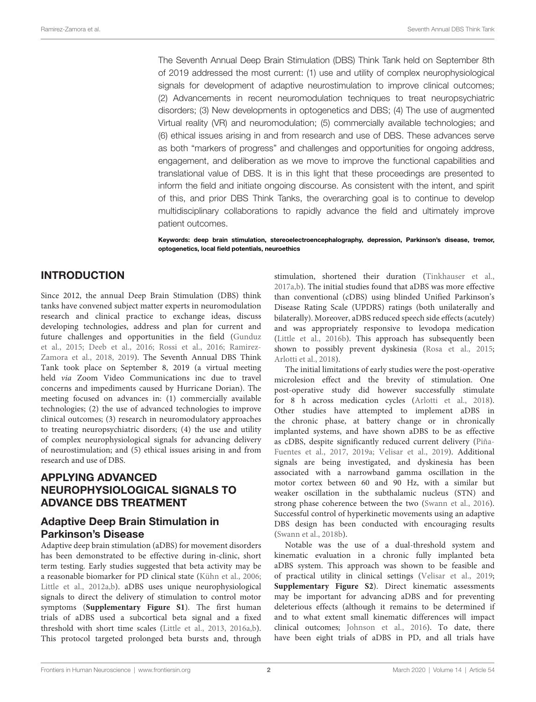The Seventh Annual Deep Brain Stimulation (DBS) Think Tank held on September 8th of 2019 addressed the most current: (1) use and utility of complex neurophysiological signals for development of adaptive neurostimulation to improve clinical outcomes; (2) Advancements in recent neuromodulation techniques to treat neuropsychiatric disorders; (3) New developments in optogenetics and DBS; (4) The use of augmented Virtual reality (VR) and neuromodulation; (5) commercially available technologies; and (6) ethical issues arising in and from research and use of DBS. These advances serve as both "markers of progress" and challenges and opportunities for ongoing address, engagement, and deliberation as we move to improve the functional capabilities and translational value of DBS. It is in this light that these proceedings are presented to inform the field and initiate ongoing discourse. As consistent with the intent, and spirit of this, and prior DBS Think Tanks, the overarching goal is to continue to develop multidisciplinary collaborations to rapidly advance the field and ultimately improve patient outcomes.

Keywords: deep brain stimulation, stereoelectroencephalography, depression, Parkinson's disease, tremor, optogenetics, local field potentials, neuroethics

# INTRODUCTION

Since 2012, the annual Deep Brain Stimulation (DBS) think tanks have convened subject matter experts in neuromodulation research and clinical practice to exchange ideas, discuss developing technologies, address and plan for current and future challenges and opportunities in the field [\(Gunduz](#page-14-0) [et al.,](#page-14-0) [2015;](#page-14-0) [Deeb et al.,](#page-14-1) [2016;](#page-14-1) [Rossi et al.,](#page-15-0) [2016;](#page-15-0) [Ramirez-](#page-15-1)[Zamora et al.,](#page-15-1) [2018,](#page-15-1) [2019\)](#page-15-2). The Seventh Annual DBS Think Tank took place on September 8, 2019 (a virtual meeting held via Zoom Video Communications inc due to travel concerns and impediments caused by Hurricane Dorian). The meeting focused on advances in: (1) commercially available technologies; (2) the use of advanced technologies to improve clinical outcomes; (3) research in neuromodulatory approaches to treating neuropsychiatric disorders; (4) the use and utility of complex neurophysiological signals for advancing delivery of neurostimulation; and (5) ethical issues arising in and from research and use of DBS.

# APPLYING ADVANCED NEUROPHYSIOLOGICAL SIGNALS TO ADVANCE DBS TREATMENT

### Adaptive Deep Brain Stimulation in Parkinson's Disease

Adaptive deep brain stimulation (aDBS) for movement disorders has been demonstrated to be effective during in-clinic, short term testing. Early studies suggested that beta activity may be a reasonable biomarker for PD clinical state [\(Kühn et al.,](#page-14-2) [2006;](#page-14-2) [Little et al.,](#page-15-3) [2012a,](#page-15-3)[b\)](#page-15-4). aDBS uses unique neurophysiological signals to direct the delivery of stimulation to control motor symptoms (**[Supplementary Figure S1](#page-13-0)**). The first human trials of aDBS used a subcortical beta signal and a fixed threshold with short time scales [\(Little et al.,](#page-15-5) [2013,](#page-15-5) [2016a,](#page-14-3)[b\)](#page-14-4). This protocol targeted prolonged beta bursts and, through

stimulation, shortened their duration [\(Tinkhauser et al.,](#page-16-0) [2017a](#page-16-0)[,b\)](#page-16-1). The initial studies found that aDBS was more effective than conventional (cDBS) using blinded Unified Parkinson's Disease Rating Scale (UPDRS) ratings (both unilaterally and bilaterally). Moreover, aDBS reduced speech side effects (acutely) and was appropriately responsive to levodopa medication [\(Little et al.,](#page-14-4) [2016b\)](#page-14-4). This approach has subsequently been shown to possibly prevent dyskinesia [\(Rosa et al.,](#page-15-6) [2015;](#page-15-6) [Arlotti et al.,](#page-13-1) [2018\)](#page-13-1).

The initial limitations of early studies were the post-operative microlesion effect and the brevity of stimulation. One post-operative study did however successfully stimulate for 8 h across medication cycles [\(Arlotti et al.,](#page-13-1) [2018\)](#page-13-1). Other studies have attempted to implement aDBS in the chronic phase, at battery change or in chronically implanted systems, and have shown aDBS to be as effective as cDBS, despite significantly reduced current delivery [\(Piña-](#page-15-7)[Fuentes et al.,](#page-15-7) [2017,](#page-15-7) [2019a;](#page-15-8) [Velisar et al.,](#page-16-2) [2019\)](#page-16-2). Additional signals are being investigated, and dyskinesia has been associated with a narrowband gamma oscillation in the motor cortex between 60 and 90 Hz, with a similar but weaker oscillation in the subthalamic nucleus (STN) and strong phase coherence between the two [\(Swann et al.,](#page-15-9) [2016\)](#page-15-9). Successful control of hyperkinetic movements using an adaptive DBS design has been conducted with encouraging results [\(Swann et al.,](#page-15-10) [2018b\)](#page-15-10).

Notable was the use of a dual-threshold system and kinematic evaluation in a chronic fully implanted beta aDBS system. This approach was shown to be feasible and of practical utility in clinical settings [\(Velisar et al.,](#page-16-2) [2019;](#page-16-2) **[Supplementary Figure S2](#page-13-2)**). Direct kinematic assessments may be important for advancing aDBS and for preventing deleterious effects (although it remains to be determined if and to what extent small kinematic differences will impact clinical outcomes; [Johnson et al.,](#page-14-5) [2016\)](#page-14-5). To date, there have been eight trials of aDBS in PD, and all trials have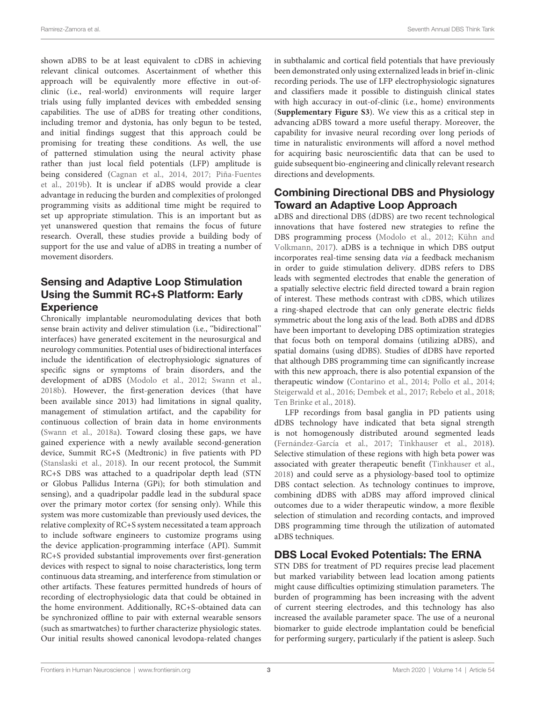shown aDBS to be at least equivalent to cDBS in achieving relevant clinical outcomes. Ascertainment of whether this approach will be equivalently more effective in out-ofclinic (i.e., real-world) environments will require larger trials using fully implanted devices with embedded sensing capabilities. The use of aDBS for treating other conditions, including tremor and dystonia, has only begun to be tested, and initial findings suggest that this approach could be promising for treating these conditions. As well, the use of patterned stimulation using the neural activity phase rather than just local field potentials (LFP) amplitude is being considered [\(Cagnan et al.,](#page-13-3) [2014,](#page-13-3) [2017;](#page-13-4) [Piña-Fuentes](#page-15-11) [et al.,](#page-15-11) [2019b\)](#page-15-11). It is unclear if aDBS would provide a clear advantage in reducing the burden and complexities of prolonged programming visits as additional time might be required to set up appropriate stimulation. This is an important but as yet unanswered question that remains the focus of future research. Overall, these studies provide a building body of support for the use and value of aDBS in treating a number of movement disorders.

### Sensing and Adaptive Loop Stimulation Using the Summit RC+S Platform: Early **Experience**

Chronically implantable neuromodulating devices that both sense brain activity and deliver stimulation (i.e., ''bidirectional'' interfaces) have generated excitement in the neurosurgical and neurology communities. Potential uses of bidirectional interfaces include the identification of electrophysiologic signatures of specific signs or symptoms of brain disorders, and the development of aDBS [\(Modolo et al.,](#page-15-12) [2012;](#page-15-12) [Swann et al.,](#page-15-10) [2018b\)](#page-15-10). However, the first-generation devices (that have been available since 2013) had limitations in signal quality, management of stimulation artifact, and the capability for continuous collection of brain data in home environments [\(Swann et al.,](#page-15-13) [2018a\)](#page-15-13). Toward closing these gaps, we have gained experience with a newly available second-generation device, Summit RC+S (Medtronic) in five patients with PD [\(Stanslaski et al.,](#page-15-14) [2018\)](#page-15-14). In our recent protocol, the Summit RC+S DBS was attached to a quadripolar depth lead (STN or Globus Pallidus Interna (GPi); for both stimulation and sensing), and a quadripolar paddle lead in the subdural space over the primary motor cortex (for sensing only). While this system was more customizable than previously used devices, the relative complexity of RC+S system necessitated a team approach to include software engineers to customize programs using the device application-programming interface (API). Summit RC+S provided substantial improvements over first-generation devices with respect to signal to noise characteristics, long term continuous data streaming, and interference from stimulation or other artifacts. These features permitted hundreds of hours of recording of electrophysiologic data that could be obtained in the home environment. Additionally, RC+S-obtained data can be synchronized offline to pair with external wearable sensors (such as smartwatches) to further characterize physiologic states. Our initial results showed canonical levodopa-related changes in subthalamic and cortical field potentials that have previously been demonstrated only using externalized leads in brief in-clinic recording periods. The use of LFP electrophysiologic signatures and classifiers made it possible to distinguish clinical states with high accuracy in out-of-clinic (i.e., home) environments (**[Supplementary Figure S3](#page-13-5)**). We view this as a critical step in advancing aDBS toward a more useful therapy. Moreover, the capability for invasive neural recording over long periods of time in naturalistic environments will afford a novel method for acquiring basic neuroscientific data that can be used to guide subsequent bio-engineering and clinically relevant research directions and developments.

### Combining Directional DBS and Physiology Toward an Adaptive Loop Approach

aDBS and directional DBS (dDBS) are two recent technological innovations that have fostered new strategies to refine the DBS programming process [\(Modolo et al.,](#page-15-12) [2012;](#page-15-12) [Kühn and](#page-14-6) [Volkmann,](#page-14-6) [2017\)](#page-14-6). aDBS is a technique in which DBS output incorporates real-time sensing data via a feedback mechanism in order to guide stimulation delivery. dDBS refers to DBS leads with segmented electrodes that enable the generation of a spatially selective electric field directed toward a brain region of interest. These methods contrast with cDBS, which utilizes a ring-shaped electrode that can only generate electric fields symmetric about the long axis of the lead. Both aDBS and dDBS have been important to developing DBS optimization strategies that focus both on temporal domains (utilizing aDBS), and spatial domains (using dDBS). Studies of dDBS have reported that although DBS programming time can significantly increase with this new approach, there is also potential expansion of the therapeutic window [\(Contarino et al.,](#page-14-7) [2014;](#page-14-7) [Pollo et al.,](#page-15-15) [2014;](#page-15-15) [Steigerwald et al.,](#page-15-16) [2016;](#page-15-16) [Dembek et al.,](#page-14-8) [2017;](#page-14-8) [Rebelo et al.,](#page-15-17) [2018;](#page-15-17) [Ten Brinke et al.,](#page-15-18) [2018\)](#page-15-18).

LFP recordings from basal ganglia in PD patients using dDBS technology have indicated that beta signal strength is not homogenously distributed around segmented leads [\(Fernández-García et al.,](#page-14-9) [2017;](#page-14-9) [Tinkhauser et al.,](#page-16-3) [2018\)](#page-16-3). Selective stimulation of these regions with high beta power was associated with greater therapeutic benefit [\(Tinkhauser et al.,](#page-16-3) [2018\)](#page-16-3) and could serve as a physiology-based tool to optimize DBS contact selection. As technology continues to improve, combining dDBS with aDBS may afford improved clinical outcomes due to a wider therapeutic window, a more flexible selection of stimulation and recording contacts, and improved DBS programming time through the utilization of automated aDBS techniques.

# DBS Local Evoked Potentials: The ERNA

STN DBS for treatment of PD requires precise lead placement but marked variability between lead location among patients might cause difficulties optimizing stimulation parameters. The burden of programming has been increasing with the advent of current steering electrodes, and this technology has also increased the available parameter space. The use of a neuronal biomarker to guide electrode implantation could be beneficial for performing surgery, particularly if the patient is asleep. Such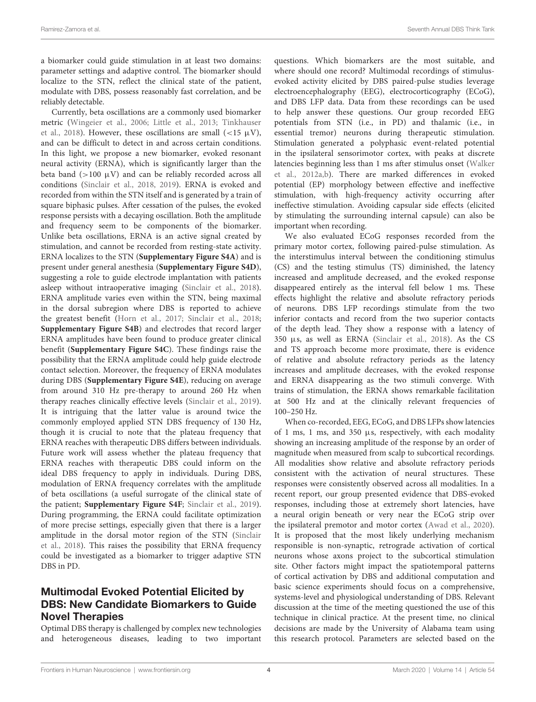a biomarker could guide stimulation in at least two domains: parameter settings and adaptive control. The biomarker should localize to the STN, reflect the clinical state of the patient, modulate with DBS, possess reasonably fast correlation, and be reliably detectable.

Currently, beta oscillations are a commonly used biomarker metric (Wingeier et al., 2006; Little et al., 2013; Tinkhauser et al., 2018). However, these oscillations are small  $\left($  <15  $\mu$ V), and can be difficult to detect in and across certain conditions. In this light, we propose a new biomarker, evoked resonant neural activity (ERNA), which is significantly larger than the beta band ( $>100 \mu V$ ) and can be reliably recorded across all conditions (Sinclair et al., 2018, 2019). ERNA is evoked and recorded from within the STN itself and is generated by a train of square biphasic pulses. After cessation of the pulses, the evoked response persists with a decaying oscillation. Both the amplitude and frequency seem to be components of the biomarker. Unlike beta oscillations, ERNA is an active signal created by stimulation, and cannot be recorded from resting-state activity. ERNA localizes to the STN (**Supplementary Figure S4A**) and is present under general anesthesia (**Supplementary Figure S4D**), suggesting a role to guide electrode implantation with patients asleep without intraoperative imaging (Sinclair et al., 2018). ERNA amplitude varies even within the STN, being maximal in the dorsal subregion where DBS is reported to achieve the greatest benefit (Horn et al., 2017; Sinclair et al., 2018; **Supplementary Figure S4B**) and electrodes that record larger ERNA amplitudes have been found to produce greater clinical benefit (**Supplementary Figure S4C**). These findings raise the possibility that the ERNA amplitude could help guide electrode contact selection. Moreover, the frequency of ERNA modulates during DBS (**Supplementary Figure S4E**), reducing on average from around 310 Hz pre-therapy to around 260 Hz when therapy reaches clinically effective levels (Sinclair et al., 2019). It is intriguing that the latter value is around twice the commonly employed applied STN DBS frequency of 130 Hz, though it is crucial to note that the plateau frequency that ERNA reaches with therapeutic DBS differs between individuals. Future work will assess whether the plateau frequency that ERNA reaches with therapeutic DBS could inform on the ideal DBS frequency to apply in individuals. During DBS, modulation of ERNA frequency correlates with the amplitude of beta oscillations (a useful surrogate of the clinical state of the patient; **Supplementary Figure S4F**; Sinclair et al., 2019). During programming, the ERNA could facilitate optimization of more precise settings, especially given that there is a larger amplitude in the dorsal motor region of the STN (Sinclair et al., 2018). This raises the possibility that ERNA frequency could be investigated as a biomarker to trigger adaptive STN DBS in PD.

### Multimodal Evoked Potential Elicited by DBS: New Candidate Biomarkers to Guide Novel Therapies

Optimal DBS therapy is challenged by complex new technologies and heterogeneous diseases, leading to two important

questions. Which biomarkers are the most suitable, and where should one record? Multimodal recordings of stimulusevoked activity elicited by DBS paired-pulse studies leverage electroencephalography (EEG), electrocorticography (ECoG), and DBS LFP data. Data from these recordings can be used to help answer these questions. Our group recorded EEG potentials from STN (i.e., in PD) and thalamic (i.e., in essential tremor) neurons during therapeutic stimulation. Stimulation generated a polyphasic event-related potential in the ipsilateral sensorimotor cortex, with peaks at discrete latencies beginning less than 1 ms after stimulus onset (Walker et al., 2012a,b). There are marked differences in evoked potential (EP) morphology between effective and ineffective stimulation, with high-frequency activity occurring after ineffective stimulation. Avoiding capsular side effects (elicited by stimulating the surrounding internal capsule) can also be important when recording.

We also evaluated ECoG responses recorded from the primary motor cortex, following paired-pulse stimulation. As the interstimulus interval between the conditioning stimulus (CS) and the testing stimulus (TS) diminished, the latency increased and amplitude decreased, and the evoked response disappeared entirely as the interval fell below 1 ms. These effects highlight the relative and absolute refractory periods of neurons. DBS LFP recordings stimulate from the two inferior contacts and record from the two superior contacts of the depth lead. They show a response with a latency of 350 µs, as well as ERNA (Sinclair et al., 2018). As the CS and TS approach become more proximate, there is evidence of relative and absolute refractory periods as the latency increases and amplitude decreases, with the evoked response and ERNA disappearing as the two stimuli converge. With trains of stimulation, the ERNA shows remarkable facilitation at 500 Hz and at the clinically relevant frequencies of 100–250 Hz.

When co-recorded, EEG, ECoG, and DBS LFPs show latencies of 1 ms, 1 ms, and 350  $\mu$ s, respectively, with each modality showing an increasing amplitude of the response by an order of magnitude when measured from scalp to subcortical recordings. All modalities show relative and absolute refractory periods consistent with the activation of neural structures. These responses were consistently observed across all modalities. In a recent report, our group presented evidence that DBS-evoked responses, including those at extremely short latencies, have a neural origin beneath or very near the ECoG strip over the ipsilateral premotor and motor cortex (Awad et al., 2020). It is proposed that the most likely underlying mechanism responsible is non-synaptic, retrograde activation of cortical neurons whose axons project to the subcortical stimulation site. Other factors might impact the spatiotemporal patterns of cortical activation by DBS and additional computation and basic science experiments should focus on a comprehensive, systems-level and physiological understanding of DBS. Relevant discussion at the time of the meeting questioned the use of this technique in clinical practice. At the present time, no clinical decisions are made by the University of Alabama team using this research protocol. Parameters are selected based on the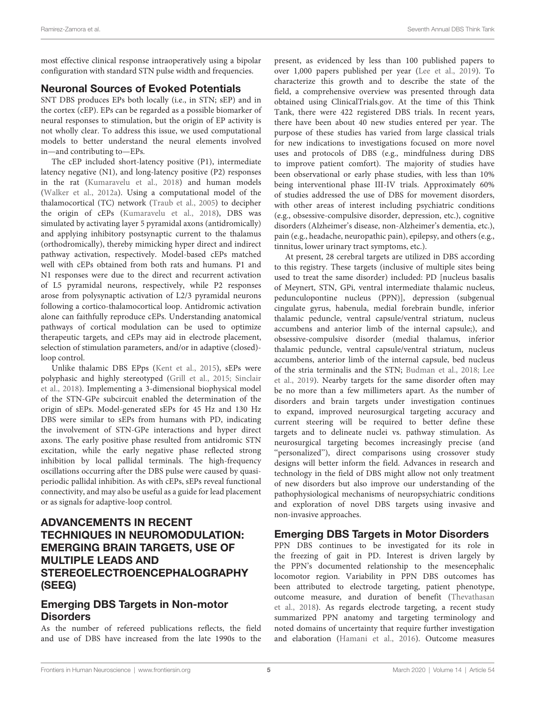most effective clinical response intraoperatively using a bipolar configuration with standard STN pulse width and frequencies.

### Neuronal Sources of Evoked Potentials

SNT DBS produces EPs both locally (i.e., in STN; sEP) and in the cortex (cEP). EPs can be regarded as a possible biomarker of neural responses to stimulation, but the origin of EP activity is not wholly clear. To address this issue, we used computational models to better understand the neural elements involved in—and contributing to—EPs.

The cEP included short-latency positive (P1), intermediate latency negative (N1), and long-latency positive (P2) responses in the rat (Kumaravelu et al., 2018) and human models (Walker et al., 2012a). Using a computational model of the thalamocortical (TC) network (Traub et al., 2005) to decipher the origin of cEPs (Kumaravelu et al., 2018), DBS was simulated by activating layer 5 pyramidal axons (antidromically) and applying inhibitory postsynaptic current to the thalamus (orthodromically), thereby mimicking hyper direct and indirect pathway activation, respectively. Model-based cEPs matched well with cEPs obtained from both rats and humans. P1 and N1 responses were due to the direct and recurrent activation of L5 pyramidal neurons, respectively, while P2 responses arose from polysynaptic activation of L2/3 pyramidal neurons following a cortico-thalamocortical loop. Antidromic activation alone can faithfully reproduce cEPs. Understanding anatomical pathways of cortical modulation can be used to optimize therapeutic targets, and cEPs may aid in electrode placement, selection of stimulation parameters, and/or in adaptive (closed) loop control.

Unlike thalamic DBS EPps (Kent et al., 2015), sEPs were polyphasic and highly stereotyped (Grill et al., 2015; Sinclair et al., 2018). Implementing a 3-dimensional biophysical model of the STN-GPe subcircuit enabled the determination of the origin of sEPs. Model-generated sEPs for 45 Hz and 130 Hz DBS were similar to sEPs from humans with PD, indicating the involvement of STN-GPe interactions and hyper direct axons. The early positive phase resulted from antidromic STN excitation, while the early negative phase reflected strong inhibition by local pallidal terminals. The high-frequency oscillations occurring after the DBS pulse were caused by quasiperiodic pallidal inhibition. As with cEPs, sEPs reveal functional connectivity, and may also be useful as a guide for lead placement or as signals for adaptive-loop control.

### ADVANCEMENTS IN RECENT TECHNIQUES IN NEUROMODULATION: EMERGING BRAIN TARGETS, USE OF MULTIPLE LEADS AND STEREOELECTROENCEPHALOGRAPHY (SEEG)

### Emerging DBS Targets in Non-motor **Disorders**

As the number of refereed publications reflects, the field and use of DBS have increased from the late 1990s to the present, as evidenced by less than 100 published papers to over 1,000 papers published per year (Lee et al., 2019). To characterize this growth and to describe the state of the field, a comprehensive overview was presented through data obtained using ClinicalTrials.gov. At the time of this Think Tank, there were 422 registered DBS trials. In recent years, there have been about 40 new studies entered per year. The purpose of these studies has varied from large classical trials for new indications to investigations focused on more novel uses and protocols of DBS (e.g., mindfulness during DBS to improve patient comfort). The majority of studies have been observational or early phase studies, with less than 10% being interventional phase III-IV trials. Approximately 60% of studies addressed the use of DBS for movement disorders, with other areas of interest including psychiatric conditions (e.g., obsessive-compulsive disorder, depression, etc.), cognitive disorders (Alzheimer's disease, non-Alzheimer's dementia, etc.), pain (e.g., headache, neuropathic pain), epilepsy, and others (e.g., tinnitus, lower urinary tract symptoms, etc.).

At present, 28 cerebral targets are utilized in DBS according to this registry. These targets (inclusive of multiple sites being used to treat the same disorder) included: PD [nucleus basalis of Meynert, STN, GPi, ventral intermediate thalamic nucleus, pedunculopontine nucleus (PPN)], depression (subgenual cingulate gyrus, habenula, medial forebrain bundle, inferior thalamic peduncle, ventral capsule/ventral striatum, nucleus accumbens and anterior limb of the internal capsule;), and obsessive-compulsive disorder (medial thalamus, inferior thalamic peduncle, ventral capsule/ventral striatum, nucleus accumbens, anterior limb of the internal capsule, bed nucleus of the stria terminalis and the STN; Budman et al., 2018; Lee et al., 2019). Nearby targets for the same disorder often may be no more than a few millimeters apart. As the number of disorders and brain targets under investigation continues to expand, improved neurosurgical targeting accuracy and current steering will be required to better define these targets and to delineate nuclei vs. pathway stimulation. As neurosurgical targeting becomes increasingly precise (and "personalized"), direct comparisons using crossover study designs will better inform the field. Advances in research and technology in the field of DBS might allow not only treatment of new disorders but also improve our understanding of the pathophysiological mechanisms of neuropsychiatric conditions and exploration of novel DBS targets using invasive and non-invasive approaches.

### Emerging DBS Targets in Motor Disorders

PPN DBS continues to be investigated for its role in the freezing of gait in PD. Interest is driven largely by the PPN's documented relationship to the mesencephalic locomotor region. Variability in PPN DBS outcomes has been attributed to electrode targeting, patient phenotype, outcome measure, and duration of benefit (Thevathasan et al., 2018). As regards electrode targeting, a recent study summarized PPN anatomy and targeting terminology and noted domains of uncertainty that require further investigation and elaboration (Hamani et al., 2016). Outcome measures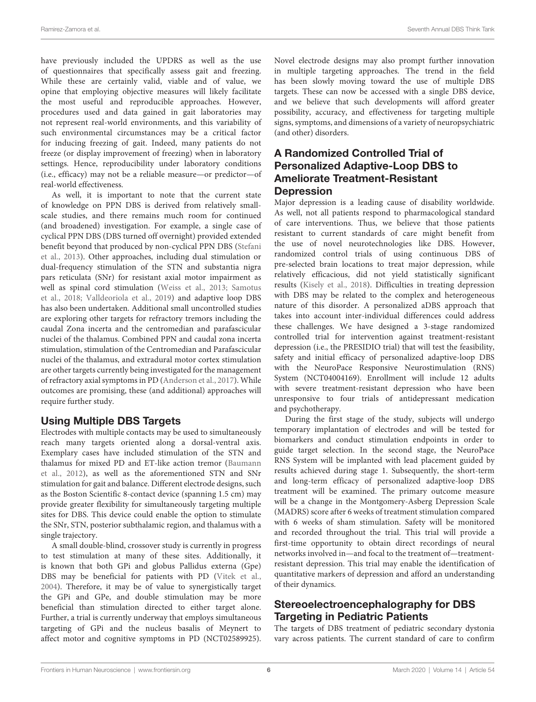have previously included the UPDRS as well as the use of questionnaires that specifically assess gait and freezing. While these are certainly valid, viable and of value, we opine that employing objective measures will likely facilitate the most useful and reproducible approaches. However, procedures used and data gained in gait laboratories may not represent real-world environments, and this variability of such environmental circumstances may be a critical factor for inducing freezing of gait. Indeed, many patients do not freeze (or display improvement of freezing) when in laboratory settings. Hence, reproducibility under laboratory conditions (i.e., efficacy) may not be a reliable measure—or predictor—of real-world effectiveness.

As well, it is important to note that the current state of knowledge on PPN DBS is derived from relatively smallscale studies, and there remains much room for continued (and broadened) investigation. For example, a single case of cyclical PPN DBS (DBS turned off overnight) provided extended benefit beyond that produced by non-cyclical PPN DBS (Stefani et al., 2013). Other approaches, including dual stimulation or dual-frequency stimulation of the STN and substantia nigra pars reticulata (SNr) for resistant axial motor impairment as well as spinal cord stimulation (Weiss et al., 2013; Samotus et al., 2018; Valldeoriola et al., 2019) and adaptive loop DBS has also been undertaken. Additional small uncontrolled studies are exploring other targets for refractory tremors including the caudal Zona incerta and the centromedian and parafascicular nuclei of the thalamus. Combined PPN and caudal zona incerta stimulation, stimulation of the Centromedian and Parafascicular nuclei of the thalamus, and extradural motor cortex stimulation are other targets currently being investigated for the management of refractory axial symptoms in PD (Anderson et al., 2017). While outcomes are promising, these (and additional) approaches will require further study.

#### Using Multiple DBS Targets

Electrodes with multiple contacts may be used to simultaneously reach many targets oriented along a dorsal-ventral axis. Exemplary cases have included stimulation of the STN and thalamus for mixed PD and ET-like action tremor (Baumann et al., 2012), as well as the aforementioned STN and SNr stimulation for gait and balance. Different electrode designs, such as the Boston Scientific 8-contact device (spanning 1.5 cm) may provide greater flexibility for simultaneously targeting multiple sites for DBS. This device could enable the option to stimulate the SNr, STN, posterior subthalamic region, and thalamus with a single trajectory.

A small double-blind, crossover study is currently in progress to test stimulation at many of these sites. Additionally, it is known that both GPi and globus Pallidus externa (Gpe) DBS may be beneficial for patients with PD (Vitek et al., 2004). Therefore, it may be of value to synergistically target the GPi and GPe, and double stimulation may be more beneficial than stimulation directed to either target alone. Further, a trial is currently underway that employs simultaneous targeting of GPi and the nucleus basalis of Meynert to affect motor and cognitive symptoms in PD (NCT02589925). Novel electrode designs may also prompt further innovation in multiple targeting approaches. The trend in the field has been slowly moving toward the use of multiple DBS targets. These can now be accessed with a single DBS device, and we believe that such developments will afford greater possibility, accuracy, and effectiveness for targeting multiple signs, symptoms, and dimensions of a variety of neuropsychiatric (and other) disorders.

### A Randomized Controlled Trial of Personalized Adaptive-Loop DBS to Ameliorate Treatment-Resistant **Depression**

Major depression is a leading cause of disability worldwide. As well, not all patients respond to pharmacological standard of care interventions. Thus, we believe that those patients resistant to current standards of care might benefit from the use of novel neurotechnologies like DBS. However, randomized control trials of using continuous DBS of pre-selected brain locations to treat major depression, while relatively efficacious, did not yield statistically significant results (Kisely et al., 2018). Difficulties in treating depression with DBS may be related to the complex and heterogeneous nature of this disorder. A personalized aDBS approach that takes into account inter-individual differences could address these challenges. We have designed a 3-stage randomized controlled trial for intervention against treatment-resistant depression (i.e., the PRESIDIO trial) that will test the feasibility, safety and initial efficacy of personalized adaptive-loop DBS with the NeuroPace Responsive Neurostimulation (RNS) System (NCT04004169). Enrollment will include 12 adults with severe treatment-resistant depression who have been unresponsive to four trials of antidepressant medication and psychotherapy.

During the first stage of the study, subjects will undergo temporary implantation of electrodes and will be tested for biomarkers and conduct stimulation endpoints in order to guide target selection. In the second stage, the NeuroPace RNS System will be implanted with lead placement guided by results achieved during stage 1. Subsequently, the short-term and long-term efficacy of personalized adaptive-loop DBS treatment will be examined. The primary outcome measure will be a change in the Montgomery-Asberg Depression Scale (MADRS) score after 6 weeks of treatment stimulation compared with 6 weeks of sham stimulation. Safety will be monitored and recorded throughout the trial. This trial will provide a first-time opportunity to obtain direct recordings of neural networks involved in—and focal to the treatment of—treatmentresistant depression. This trial may enable the identification of quantitative markers of depression and afford an understanding of their dynamics.

### Stereoelectroencephalography for DBS Targeting in Pediatric Patients

The targets of DBS treatment of pediatric secondary dystonia vary across patients. The current standard of care to confirm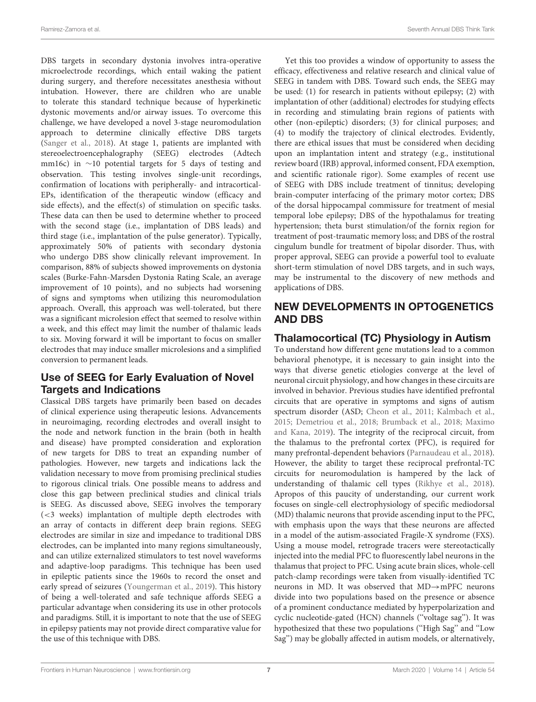DBS targets in secondary dystonia involves intra-operative microelectrode recordings, which entail waking the patient during surgery, and therefore necessitates anesthesia without intubation. However, there are children who are unable to tolerate this standard technique because of hyperkinetic dystonic movements and/or airway issues. To overcome this challenge, we have developed a novel 3-stage neuromodulation approach to determine clinically effective DBS targets (Sanger et al., 2018). At stage 1, patients are implanted with stereoelectroencephalography (SEEG) electrodes (Adtech mm16c) in ∼10 potential targets for 5 days of testing and observation. This testing involves single-unit recordings, confirmation of locations with peripherally- and intracortical-EPs, identification of the therapeutic window (efficacy and side effects), and the effect(s) of stimulation on specific tasks. These data can then be used to determine whether to proceed with the second stage (i.e., implantation of DBS leads) and third stage (i.e., implantation of the pulse generator). Typically, approximately 50% of patients with secondary dystonia who undergo DBS show clinically relevant improvement. In comparison, 88% of subjects showed improvements on dystonia scales (Burke-Fahn-Marsden Dystonia Rating Scale, an average improvement of 10 points), and no subjects had worsening of signs and symptoms when utilizing this neuromodulation approach. Overall, this approach was well-tolerated, but there was a significant microlesion effect that seemed to resolve within a week, and this effect may limit the number of thalamic leads to six. Moving forward it will be important to focus on smaller electrodes that may induce smaller microlesions and a simplified conversion to permanent leads.

### Use of SEEG for Early Evaluation of Novel Targets and Indications

Classical DBS targets have primarily been based on decades of clinical experience using therapeutic lesions. Advancements in neuroimaging, recording electrodes and overall insight to the node and network function in the brain (both in health and disease) have prompted consideration and exploration of new targets for DBS to treat an expanding number of pathologies. However, new targets and indications lack the validation necessary to move from promising preclinical studies to rigorous clinical trials. One possible means to address and close this gap between preclinical studies and clinical trials is SEEG. As discussed above, SEEG involves the temporary (<3 weeks) implantation of multiple depth electrodes with an array of contacts in different deep brain regions. SEEG electrodes are similar in size and impedance to traditional DBS electrodes, can be implanted into many regions simultaneously, and can utilize externalized stimulators to test novel waveforms and adaptive-loop paradigms. This technique has been used in epileptic patients since the 1960s to record the onset and early spread of seizures (Youngerman et al., 2019). This history of being a well-tolerated and safe technique affords SEEG a particular advantage when considering its use in other protocols and paradigms. Still, it is important to note that the use of SEEG in epilepsy patients may not provide direct comparative value for the use of this technique with DBS.

Yet this too provides a window of opportunity to assess the efficacy, effectiveness and relative research and clinical value of SEEG in tandem with DBS. Toward such ends, the SEEG may be used: (1) for research in patients without epilepsy; (2) with implantation of other (additional) electrodes for studying effects in recording and stimulating brain regions of patients with other (non-epileptic) disorders; (3) for clinical purposes; and (4) to modify the trajectory of clinical electrodes. Evidently, there are ethical issues that must be considered when deciding upon an implantation intent and strategy (e.g., institutional review board (IRB) approval, informed consent, FDA exemption, and scientific rationale rigor). Some examples of recent use of SEEG with DBS include treatment of tinnitus; developing brain-computer interfacing of the primary motor cortex; DBS of the dorsal hippocampal commissure for treatment of mesial temporal lobe epilepsy; DBS of the hypothalamus for treating hypertension; theta burst stimulation/of the fornix region for treatment of post-traumatic memory loss; and DBS of the rostral cingulum bundle for treatment of bipolar disorder. Thus, with proper approval, SEEG can provide a powerful tool to evaluate short-term stimulation of novel DBS targets, and in such ways, may be instrumental to the discovery of new methods and applications of DBS.

### NEW DEVELOPMENTS IN OPTOGENETICS AND DBS

### Thalamocortical (TC) Physiology in Autism

To understand how different gene mutations lead to a common behavioral phenotype, it is necessary to gain insight into the ways that diverse genetic etiologies converge at the level of neuronal circuit physiology, and how changes in these circuits are involved in behavior. Previous studies have identified prefrontal circuits that are operative in symptoms and signs of autism spectrum disorder (ASD; Cheon et al., 2011; Kalmbach et al., 2015; Demetriou et al., 2018; Brumback et al., 2018; Maximo and Kana, 2019). The integrity of the reciprocal circuit, from the thalamus to the prefrontal cortex (PFC), is required for many prefrontal-dependent behaviors (Parnaudeau et al., 2018). However, the ability to target these reciprocal prefrontal-TC circuits for neuromodulation is hampered by the lack of understanding of thalamic cell types (Rikhye et al., 2018). Apropos of this paucity of understanding, our current work focuses on single-cell electrophysiology of specific mediodorsal (MD) thalamic neurons that provide ascending input to the PFC, with emphasis upon the ways that these neurons are affected in a model of the autism-associated Fragile-X syndrome (FXS). Using a mouse model, retrograde tracers were stereotactically injected into the medial PFC to fluorescently label neurons in the thalamus that project to PFC. Using acute brain slices, whole-cell patch-clamp recordings were taken from visually-identified TC neurons in MD. It was observed that MD→mPFC neurons divide into two populations based on the presence or absence of a prominent conductance mediated by hyperpolarization and cyclic nucleotide-gated (HCN) channels (''voltage sag''). It was hypothesized that these two populations (''High Sag'' and ''Low Sag'') may be globally affected in autism models, or alternatively,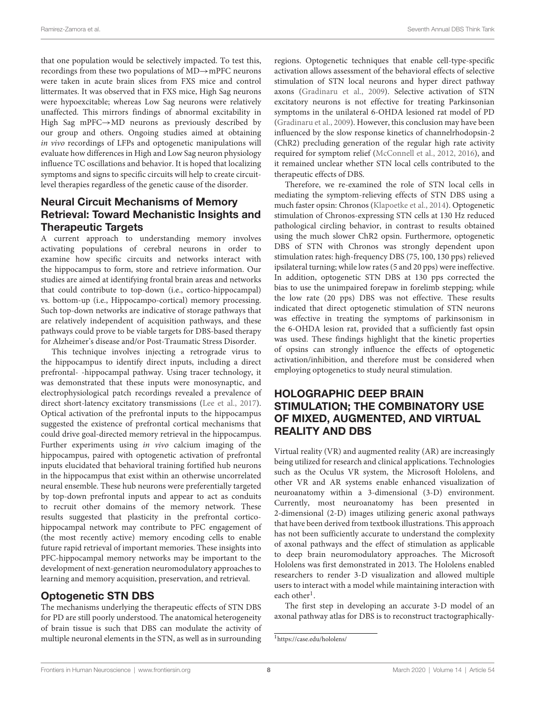that one population would be selectively impacted. To test this, recordings from these two populations of MD→mPFC neurons were taken in acute brain slices from FXS mice and control littermates. It was observed that in FXS mice, High Sag neurons were hypoexcitable; whereas Low Sag neurons were relatively unaffected. This mirrors findings of abnormal excitability in High Sag mPFC→MD neurons as previously described by our group and others. Ongoing studies aimed at obtaining in vivo recordings of LFPs and optogenetic manipulations will evaluate how differences in High and Low Sag neuron physiology influence TC oscillations and behavior. It is hoped that localizing symptoms and signs to specific circuits will help to create circuitlevel therapies regardless of the genetic cause of the disorder.

### Neural Circuit Mechanisms of Memory Retrieval: Toward Mechanistic Insights and Therapeutic Targets

A current approach to understanding memory involves activating populations of cerebral neurons in order to examine how specific circuits and networks interact with the hippocampus to form, store and retrieve information. Our studies are aimed at identifying frontal brain areas and networks that could contribute to top-down (i.e., cortico-hippocampal) vs. bottom-up (i.e., Hippocampo-cortical) memory processing. Such top-down networks are indicative of storage pathways that are relatively independent of acquisition pathways, and these pathways could prove to be viable targets for DBS-based therapy for Alzheimer's disease and/or Post-Traumatic Stress Disorder.

This technique involves injecting a retrograde virus to the hippocampus to identify direct inputs, including a direct prefrontal- -hippocampal pathway. Using tracer technology, it was demonstrated that these inputs were monosynaptic, and electrophysiological patch recordings revealed a prevalence of direct short-latency excitatory transmissions (Lee et al., 2017). Optical activation of the prefrontal inputs to the hippocampus suggested the existence of prefrontal cortical mechanisms that could drive goal-directed memory retrieval in the hippocampus. Further experiments using in vivo calcium imaging of the hippocampus, paired with optogenetic activation of prefrontal inputs elucidated that behavioral training fortified hub neurons in the hippocampus that exist within an otherwise uncorrelated neural ensemble. These hub neurons were preferentially targeted by top-down prefrontal inputs and appear to act as conduits to recruit other domains of the memory network. These results suggested that plasticity in the prefrontal corticohippocampal network may contribute to PFC engagement of (the most recently active) memory encoding cells to enable future rapid retrieval of important memories. These insights into PFC-hippocampal memory networks may be important to the development of next-generation neuromodulatory approaches to learning and memory acquisition, preservation, and retrieval.

### Optogenetic STN DBS

The mechanisms underlying the therapeutic effects of STN DBS for PD are still poorly understood. The anatomical heterogeneity of brain tissue is such that DBS can modulate the activity of multiple neuronal elements in the STN, as well as in surrounding regions. Optogenetic techniques that enable cell-type-specific activation allows assessment of the behavioral effects of selective stimulation of STN local neurons and hyper direct pathway axons (Gradinaru et al., 2009). Selective activation of STN excitatory neurons is not effective for treating Parkinsonian symptoms in the unilateral 6-OHDA lesioned rat model of PD (Gradinaru et al., 2009). However, this conclusion may have been influenced by the slow response kinetics of channelrhodopsin-2 (ChR2) precluding generation of the regular high rate activity required for symptom relief (McConnell et al., 2012, 2016), and it remained unclear whether STN local cells contributed to the therapeutic effects of DBS.

Therefore, we re-examined the role of STN local cells in mediating the symptom-relieving effects of STN DBS using a much faster opsin: Chronos (Klapoetke et al., 2014). Optogenetic stimulation of Chronos-expressing STN cells at 130 Hz reduced pathological circling behavior, in contrast to results obtained using the much slower ChR2 opsin. Furthermore, optogenetic DBS of STN with Chronos was strongly dependent upon stimulation rates: high-frequency DBS (75, 100, 130 pps) relieved ipsilateral turning; while low rates (5 and 20 pps) were ineffective. In addition, optogenetic STN DBS at 130 pps corrected the bias to use the unimpaired forepaw in forelimb stepping; while the low rate (20 pps) DBS was not effective. These results indicated that direct optogenetic stimulation of STN neurons was effective in treating the symptoms of parkinsonism in the 6-OHDA lesion rat, provided that a sufficiently fast opsin was used. These findings highlight that the kinetic properties of opsins can strongly influence the effects of optogenetic activation/inhibition, and therefore must be considered when employing optogenetics to study neural stimulation.

### HOLOGRAPHIC DEEP BRAIN STIMULATION; THE COMBINATORY USE OF MIXED, AUGMENTED, AND VIRTUAL REALITY AND DBS

Virtual reality (VR) and augmented reality (AR) are increasingly being utilized for research and clinical applications. Technologies such as the Oculus VR system, the Microsoft Hololens, and other VR and AR systems enable enhanced visualization of neuroanatomy within a 3-dimensional (3-D) environment. Currently, most neuroanatomy has been presented in 2-dimensional (2-D) images utilizing generic axonal pathways that have been derived from textbook illustrations. This approach has not been sufficiently accurate to understand the complexity of axonal pathways and the effect of stimulation as applicable to deep brain neuromodulatory approaches. The Microsoft Hololens was first demonstrated in 2013. The Hololens enabled researchers to render 3-D visualization and allowed multiple users to interact with a model while maintaining interaction with each other<sup>1</sup>.

The first step in developing an accurate 3-D model of an axonal pathway atlas for DBS is to reconstruct tractographically-

<sup>1</sup>https://case.edu/hololens/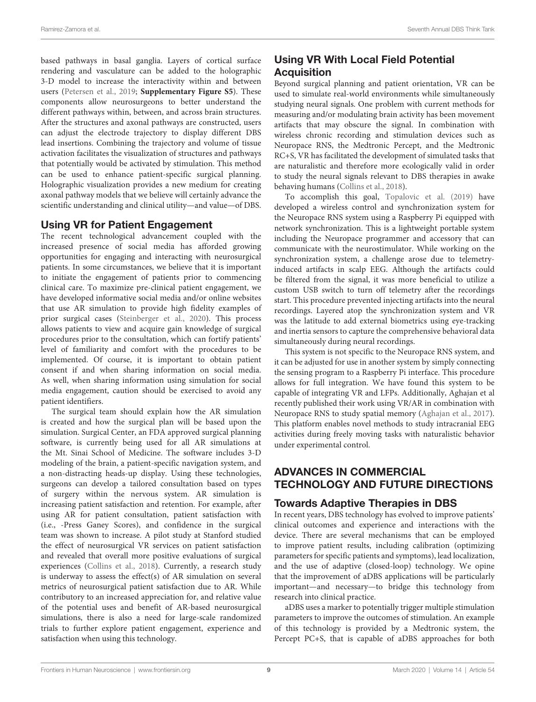based pathways in basal ganglia. Layers of cortical surface rendering and vasculature can be added to the holographic 3-D model to increase the interactivity within and between users (Petersen et al., 2019; **Supplementary Figure S5**). These components allow neurosurgeons to better understand the different pathways within, between, and across brain structures. After the structures and axonal pathways are constructed, users can adjust the electrode trajectory to display different DBS lead insertions. Combining the trajectory and volume of tissue activation facilitates the visualization of structures and pathways that potentially would be activated by stimulation. This method can be used to enhance patient-specific surgical planning. Holographic visualization provides a new medium for creating axonal pathway models that we believe will certainly advance the scientific understanding and clinical utility—and value—of DBS.

#### Using VR for Patient Engagement

The recent technological advancement coupled with the increased presence of social media has afforded growing opportunities for engaging and interacting with neurosurgical patients. In some circumstances, we believe that it is important to initiate the engagement of patients prior to commencing clinical care. To maximize pre-clinical patient engagement, we have developed informative social media and/or online websites that use AR simulation to provide high fidelity examples of prior surgical cases (Steinberger et al., 2020). This process allows patients to view and acquire gain knowledge of surgical procedures prior to the consultation, which can fortify patients' level of familiarity and comfort with the procedures to be implemented. Of course, it is important to obtain patient consent if and when sharing information on social media. As well, when sharing information using simulation for social media engagement, caution should be exercised to avoid any patient identifiers.

The surgical team should explain how the AR simulation is created and how the surgical plan will be based upon the simulation. Surgical Center, an FDA approved surgical planning software, is currently being used for all AR simulations at the Mt. Sinai School of Medicine. The software includes 3-D modeling of the brain, a patient-specific navigation system, and a non-distracting heads-up display. Using these technologies, surgeons can develop a tailored consultation based on types of surgery within the nervous system. AR simulation is increasing patient satisfaction and retention. For example, after using AR for patient consultation, patient satisfaction with (i.e., -Press Ganey Scores), and confidence in the surgical team was shown to increase. A pilot study at Stanford studied the effect of neurosurgical VR services on patient satisfaction and revealed that overall more positive evaluations of surgical experiences (Collins et al., 2018). Currently, a research study is underway to assess the effect(s) of AR simulation on several metrics of neurosurgical patient satisfaction due to AR. While contributory to an increased appreciation for, and relative value of the potential uses and benefit of AR-based neurosurgical simulations, there is also a need for large-scale randomized trials to further explore patient engagement, experience and satisfaction when using this technology.

### Using VR With Local Field Potential **Acquisition**

Beyond surgical planning and patient orientation, VR can be used to simulate real-world environments while simultaneously studying neural signals. One problem with current methods for measuring and/or modulating brain activity has been movement artifacts that may obscure the signal. In combination with wireless chronic recording and stimulation devices such as Neuropace RNS, the Medtronic Percept, and the Medtronic RC+S, VR has facilitated the development of simulated tasks that are naturalistic and therefore more ecologically valid in order to study the neural signals relevant to DBS therapies in awake behaving humans (Collins et al., 2018).

To accomplish this goal, Topalovic et al. (2019) have developed a wireless control and synchronization system for the Neuropace RNS system using a Raspberry Pi equipped with network synchronization. This is a lightweight portable system including the Neuropace programmer and accessory that can communicate with the neurostimulator. While working on the synchronization system, a challenge arose due to telemetryinduced artifacts in scalp EEG. Although the artifacts could be filtered from the signal, it was more beneficial to utilize a custom USB switch to turn off telemetry after the recordings start. This procedure prevented injecting artifacts into the neural recordings. Layered atop the synchronization system and VR was the latitude to add external biometrics using eye-tracking and inertia sensors to capture the comprehensive behavioral data simultaneously during neural recordings.

This system is not specific to the Neuropace RNS system, and it can be adjusted for use in another system by simply connecting the sensing program to a Raspberry Pi interface. This procedure allows for full integration. We have found this system to be capable of integrating VR and LFPs. Additionally, Aghajan et al recently published their work using VR/AR in combination with Neuropace RNS to study spatial memory (Aghajan et al., 2017). This platform enables novel methods to study intracranial EEG activities during freely moving tasks with naturalistic behavior under experimental control.

### ADVANCES IN COMMERCIAL TECHNOLOGY AND FUTURE DIRECTIONS

### Towards Adaptive Therapies in DBS

In recent years, DBS technology has evolved to improve patients' clinical outcomes and experience and interactions with the device. There are several mechanisms that can be employed to improve patient results, including calibration (optimizing parameters for specific patients and symptoms), lead localization, and the use of adaptive (closed-loop) technology. We opine that the improvement of aDBS applications will be particularly important—and necessary—to bridge this technology from research into clinical practice.

aDBS uses a marker to potentially trigger multiple stimulation parameters to improve the outcomes of stimulation. An example of this technology is provided by a Medtronic system, the Percept PC+S, that is capable of aDBS approaches for both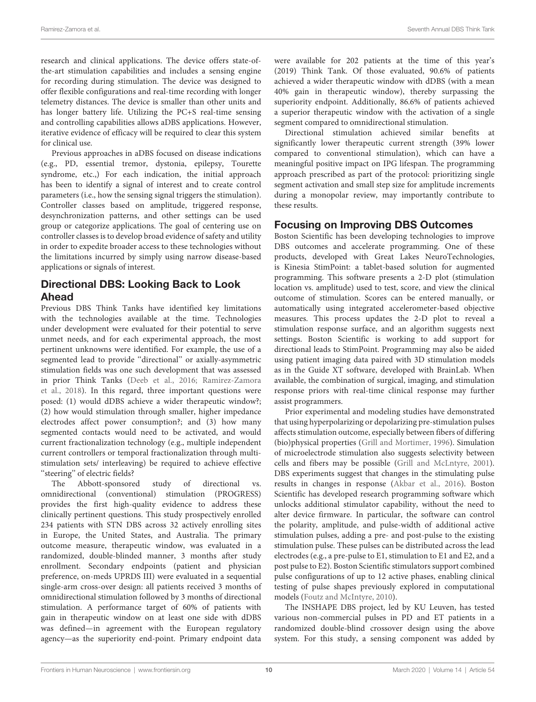research and clinical applications. The device offers state-ofthe-art stimulation capabilities and includes a sensing engine for recording during stimulation. The device was designed to offer flexible configurations and real-time recording with longer telemetry distances. The device is smaller than other units and has longer battery life. Utilizing the PC+S real-time sensing and controlling capabilities allows aDBS applications. However, iterative evidence of efficacy will be required to clear this system for clinical use.

Previous approaches in aDBS focused on disease indications (e.g., PD, essential tremor, dystonia, epilepsy, Tourette syndrome, etc.,) For each indication, the initial approach has been to identify a signal of interest and to create control parameters (i.e., how the sensing signal triggers the stimulation). Controller classes based on amplitude, triggered response, desynchronization patterns, and other settings can be used group or categorize applications. The goal of centering use on controller classes is to develop broad evidence of safety and utility in order to expedite broader access to these technologies without the limitations incurred by simply using narrow disease-based applications or signals of interest.

### Directional DBS: Looking Back to Look Ahead

Previous DBS Think Tanks have identified key limitations with the technologies available at the time. Technologies under development were evaluated for their potential to serve unmet needs, and for each experimental approach, the most pertinent unknowns were identified. For example, the use of a segmented lead to provide ''directional'' or axially-asymmetric stimulation fields was one such development that was assessed in prior Think Tanks (Deeb et al., 2016; Ramirez-Zamora et al., 2018). In this regard, three important questions were posed: (1) would dDBS achieve a wider therapeutic window?; (2) how would stimulation through smaller, higher impedance electrodes affect power consumption?; and (3) how many segmented contacts would need to be activated, and would current fractionalization technology (e.g., multiple independent current controllers or temporal fractionalization through multistimulation sets/ interleaving) be required to achieve effective "steering" of electric fields?

The Abbott-sponsored study of directional vs. omnidirectional (conventional) stimulation (PROGRESS) provides the first high-quality evidence to address these clinically pertinent questions. This study prospectively enrolled 234 patients with STN DBS across 32 actively enrolling sites in Europe, the United States, and Australia. The primary outcome measure, therapeutic window, was evaluated in a randomized, double-blinded manner, 3 months after study enrollment. Secondary endpoints (patient and physician preference, on-meds UPRDS III) were evaluated in a sequential single-arm cross-over design: all patients received 3 months of omnidirectional stimulation followed by 3 months of directional stimulation. A performance target of 60% of patients with gain in therapeutic window on at least one side with dDBS was defined—in agreement with the European regulatory agency—as the superiority end-point. Primary endpoint data were available for 202 patients at the time of this year's (2019) Think Tank. Of those evaluated, 90.6% of patients achieved a wider therapeutic window with dDBS (with a mean 40% gain in therapeutic window), thereby surpassing the superiority endpoint. Additionally, 86.6% of patients achieved a superior therapeutic window with the activation of a single segment compared to omnidirectional stimulation.

Directional stimulation achieved similar benefits at significantly lower therapeutic current strength (39% lower compared to conventional stimulation), which can have a meaningful positive impact on IPG lifespan. The programming approach prescribed as part of the protocol: prioritizing single segment activation and small step size for amplitude increments during a monopolar review, may importantly contribute to these results.

#### Focusing on Improving DBS Outcomes

Boston Scientific has been developing technologies to improve DBS outcomes and accelerate programming. One of these products, developed with Great Lakes NeuroTechnologies, is Kinesia StimPoint: a tablet-based solution for augmented programming. This software presents a 2-D plot (stimulation location vs. amplitude) used to test, score, and view the clinical outcome of stimulation. Scores can be entered manually, or automatically using integrated accelerometer-based objective measures. This process updates the 2-D plot to reveal a stimulation response surface, and an algorithm suggests next settings. Boston Scientific is working to add support for directional leads to StimPoint. Programming may also be aided using patient imaging data paired with 3D stimulation models as in the Guide XT software, developed with BrainLab. When available, the combination of surgical, imaging, and stimulation response priors with real-time clinical response may further assist programmers.

Prior experimental and modeling studies have demonstrated that using hyperpolarizing or depolarizing pre-stimulation pulses affects stimulation outcome, especially between fibers of differing (bio)physical properties (Grill and Mortimer, 1996). Simulation of microelectrode stimulation also suggests selectivity between cells and fibers may be possible (Grill and McLntyre, 2001). DBS experiments suggest that changes in the stimulating pulse results in changes in response (Akbar et al., 2016). Boston Scientific has developed research programming software which unlocks additional stimulator capability, without the need to alter device firmware. In particular, the software can control the polarity, amplitude, and pulse-width of additional active stimulation pulses, adding a pre- and post-pulse to the existing stimulation pulse. These pulses can be distributed across the lead electrodes (e.g., a pre-pulse to E1, stimulation to E1 and E2, and a post pulse to E2). Boston Scientific stimulators support combined pulse configurations of up to 12 active phases, enabling clinical testing of pulse shapes previously explored in computational models (Foutz and McIntyre, 2010).

The INSHAPE DBS project, led by KU Leuven, has tested various non-commercial pulses in PD and ET patients in a randomized double-blind crossover design using the above system. For this study, a sensing component was added by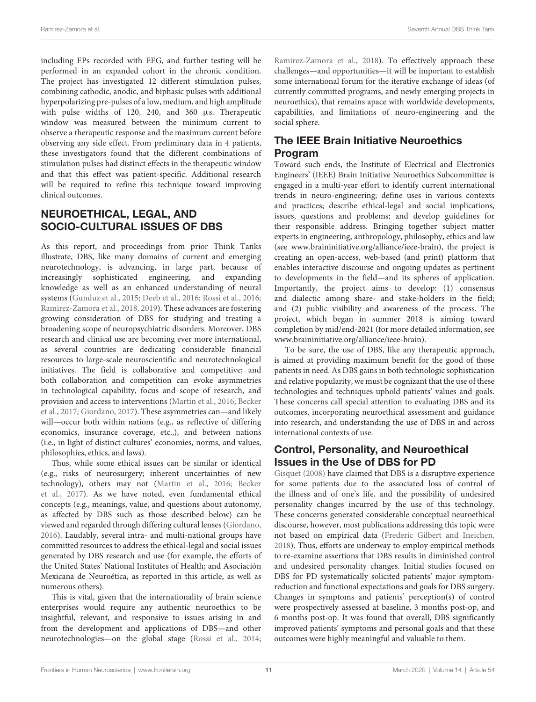including EPs recorded with EEG, and further testing will be performed in an expanded cohort in the chronic condition. The project has investigated 12 different stimulation pulses, combining cathodic, anodic, and biphasic pulses with additional hyperpolarizing pre-pulses of a low, medium, and high amplitude with pulse widths of 120, 240, and 360 µs. Therapeutic window was measured between the minimum current to observe a therapeutic response and the maximum current before observing any side effect. From preliminary data in 4 patients, these investigators found that the different combinations of stimulation pulses had distinct effects in the therapeutic window and that this effect was patient-specific. Additional research will be required to refine this technique toward improving clinical outcomes.

### NEUROETHICAL, LEGAL, AND SOCIO-CULTURAL ISSUES OF DBS

As this report, and proceedings from prior Think Tanks illustrate, DBS, like many domains of current and emerging neurotechnology, is advancing, in large part, because of increasingly sophisticated engineering, and expanding knowledge as well as an enhanced understanding of neural systems (Gunduz et al., 2015; Deeb et al., 2016; Rossi et al., 2016; Ramirez-Zamora et al., 2018, 2019). These advances are fostering growing consideration of DBS for studying and treating a broadening scope of neuropsychiatric disorders. Moreover, DBS research and clinical use are becoming ever more international, as several countries are dedicating considerable financial resources to large-scale neuroscientific and neurotechnological initiatives. The field is collaborative and competitive; and both collaboration and competition can evoke asymmetries in technological capability, focus and scope of research, and provision and access to interventions (Martin et al., 2016; Becker et al., 2017; Giordano, 2017). These asymmetries can—and likely will—occur both within nations (e.g., as reflective of differing economics, insurance coverage, etc.,), and between nations (i.e., in light of distinct cultures' economies, norms, and values, philosophies, ethics, and laws).

Thus, while some ethical issues can be similar or identical (e.g., risks of neurosurgery; inherent uncertainties of new technology), others may not (Martin et al., 2016; Becker et al., 2017). As we have noted, even fundamental ethical concepts (e.g., meanings, value, and questions about autonomy, as affected by DBS such as those described below) can be viewed and regarded through differing cultural lenses (Giordano, 2016). Laudably, several intra- and multi-national groups have committed resources to address the ethical-legal and social issues generated by DBS research and use (for example, the efforts of the United States' National Institutes of Health; and Asociación Mexicana de Neuroética, as reported in this article, as well as numerous others).

This is vital, given that the internationality of brain science enterprises would require any authentic neuroethics to be insightful, relevant, and responsive to issues arising in and from the development and applications of DBS—and other neurotechnologies—on the global stage (Rossi et al., 2014;

Ramirez-Zamora et al., 2018). To effectively approach these challenges—and opportunities—it will be important to establish some international forum for the iterative exchange of ideas (of currently committed programs, and newly emerging projects in neuroethics), that remains apace with worldwide developments, capabilities, and limitations of neuro-engineering and the social sphere.

### The IEEE Brain Initiative Neuroethics Program

Toward such ends, the Institute of Electrical and Electronics Engineers' (IEEE) Brain Initiative Neuroethics Subcommittee is engaged in a multi-year effort to identify current international trends in neuro-engineering; define uses in various contexts and practices; describe ethical-legal and social implications, issues, questions and problems; and develop guidelines for their responsible address. Bringing together subject matter experts in engineering, anthropology, philosophy, ethics and law (see www.braininitiative.org/alliance/ieee-brain), the project is creating an open-access, web-based (and print) platform that enables interactive discourse and ongoing updates as pertinent to developments in the field—and its spheres of application. Importantly, the project aims to develop: (1) consensus and dialectic among share- and stake-holders in the field; and (2) public visibility and awareness of the process. The project, which began in summer 2018 is aiming toward completion by mid/end-2021 (for more detailed information, see www.braininitiative.org/alliance/ieee-brain).

To be sure, the use of DBS, like any therapeutic approach, is aimed at providing maximum benefit for the good of those patients in need. As DBS gains in both technologic sophistication and relative popularity, we must be cognizant that the use of these technologies and techniques uphold patients' values and goals. These concerns call special attention to evaluating DBS and its outcomes, incorporating neuroethical assessment and guidance into research, and understanding the use of DBS in and across international contexts of use.

### Control, Personality, and Neuroethical Issues in the Use of DBS for PD

Gisquet (2008) have claimed that DBS is a disruptive experience for some patients due to the associated loss of control of the illness and of one's life, and the possibility of undesired personality changes incurred by the use of this technology. These concerns generated considerable conceptual neuroethical discourse, however, most publications addressing this topic were not based on empirical data (Frederic Gilbert and Ineichen, 2018). Thus, efforts are underway to employ empirical methods to re-examine assertions that DBS results in diminished control and undesired personality changes. Initial studies focused on DBS for PD systematically solicited patients' major symptomreduction and functional expectations and goals for DBS surgery. Changes in symptoms and patients' perception(s) of control were prospectively assessed at baseline, 3 months post-op, and 6 months post-op. It was found that overall, DBS significantly improved patients' symptoms and personal goals and that these outcomes were highly meaningful and valuable to them.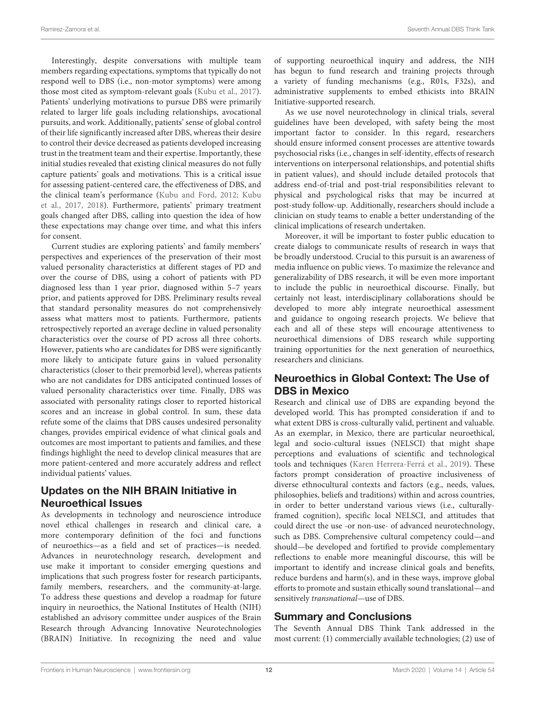Interestingly, despite conversations with multiple team members regarding expectations, symptoms that typically do not respond well to DBS (i.e., non-motor symptoms) were among those most cited as symptom-relevant goals (Kubu et al., 2017). Patients' underlying motivations to pursue DBS were primarily related to larger life goals including relationships, avocational pursuits, and work. Additionally, patients' sense of global control of their life significantly increased after DBS, whereas their desire to control their device decreased as patients developed increasing trust in the treatment team and their expertise. Importantly, these initial studies revealed that existing clinical measures do not fully capture patients' goals and motivations. This is a critical issue for assessing patient-centered care, the effectiveness of DBS, and the clinical team's performance (Kubu and Ford, 2012; Kubu et al., 2017, 2018). Furthermore, patients' primary treatment goals changed after DBS, calling into question the idea of how these expectations may change over time, and what this infers for consent.

Current studies are exploring patients' and family members' perspectives and experiences of the preservation of their most valued personality characteristics at different stages of PD and over the course of DBS, using a cohort of patients with PD diagnosed less than 1 year prior, diagnosed within 5–7 years prior, and patients approved for DBS. Preliminary results reveal that standard personality measures do not comprehensively assess what matters most to patients. Furthermore, patients retrospectively reported an average decline in valued personality characteristics over the course of PD across all three cohorts. However, patients who are candidates for DBS were significantly more likely to anticipate future gains in valued personality characteristics (closer to their premorbid level), whereas patients who are not candidates for DBS anticipated continued losses of valued personality characteristics over time. Finally, DBS was associated with personality ratings closer to reported historical scores and an increase in global control. In sum, these data refute some of the claims that DBS causes undesired personality changes, provides empirical evidence of what clinical goals and outcomes are most important to patients and families, and these findings highlight the need to develop clinical measures that are more patient-centered and more accurately address and reflect individual patients' values.

### Updates on the NIH BRAIN Initiative in Neuroethical Issues

As developments in technology and neuroscience introduce novel ethical challenges in research and clinical care, a more contemporary definition of the foci and functions of neuroethics—as a field and set of practices—is needed. Advances in neurotechnology research, development and use make it important to consider emerging questions and implications that such progress foster for research participants, family members, researchers, and the community-at-large. To address these questions and develop a roadmap for future inquiry in neuroethics, the National Institutes of Health (NIH) established an advisory committee under auspices of the Brain Research through Advancing Innovative Neurotechnologies (BRAIN) Initiative. In recognizing the need and value of supporting neuroethical inquiry and address, the NIH has begun to fund research and training projects through a variety of funding mechanisms (e.g., R01s, F32s), and administrative supplements to embed ethicists into BRAIN Initiative-supported research.

As we use novel neurotechnology in clinical trials, several guidelines have been developed, with safety being the most important factor to consider. In this regard, researchers should ensure informed consent processes are attentive towards psychosocial risks (i.e., changes in self-identity, effects of research interventions on interpersonal relationships, and potential shifts in patient values), and should include detailed protocols that address end-of-trial and post-trial responsibilities relevant to physical and psychological risks that may be incurred at post-study follow-up. Additionally, researchers should include a clinician on study teams to enable a better understanding of the clinical implications of research undertaken.

Moreover, it will be important to foster public education to create dialogs to communicate results of research in ways that be broadly understood. Crucial to this pursuit is an awareness of media influence on public views. To maximize the relevance and generalizability of DBS research, it will be even more important to include the public in neuroethical discourse. Finally, but certainly not least, interdisciplinary collaborations should be developed to more ably integrate neuroethical assessment and guidance to ongoing research projects. We believe that each and all of these steps will encourage attentiveness to neuroethical dimensions of DBS research while supporting training opportunities for the next generation of neuroethics, researchers and clinicians.

### Neuroethics in Global Context: The Use of DBS in Mexico

Research and clinical use of DBS are expanding beyond the developed world. This has prompted consideration if and to what extent DBS is cross-culturally valid, pertinent and valuable. As an exemplar, in Mexico, there are particular neuroethical, legal and socio-cultural issues (NELSCI) that might shape perceptions and evaluations of scientific and technological tools and techniques (Karen Herrera-Ferrá et al., 2019). These factors prompt consideration of proactive inclusiveness of diverse ethnocultural contexts and factors (e.g., needs, values, philosophies, beliefs and traditions) within and across countries, in order to better understand various views (i.e., culturallyframed cognition), specific local NELSCI, and attitudes that could direct the use -or non-use- of advanced neurotechnology, such as DBS. Comprehensive cultural competency could—and should—be developed and fortified to provide complementary reflections to enable more meaningful discourse, this will be important to identify and increase clinical goals and benefits, reduce burdens and harm(s), and in these ways, improve global efforts to promote and sustain ethically sound translational—and sensitively transnational—use of DBS.

### Summary and Conclusions

The Seventh Annual DBS Think Tank addressed in the most current: (1) commercially available technologies; (2) use of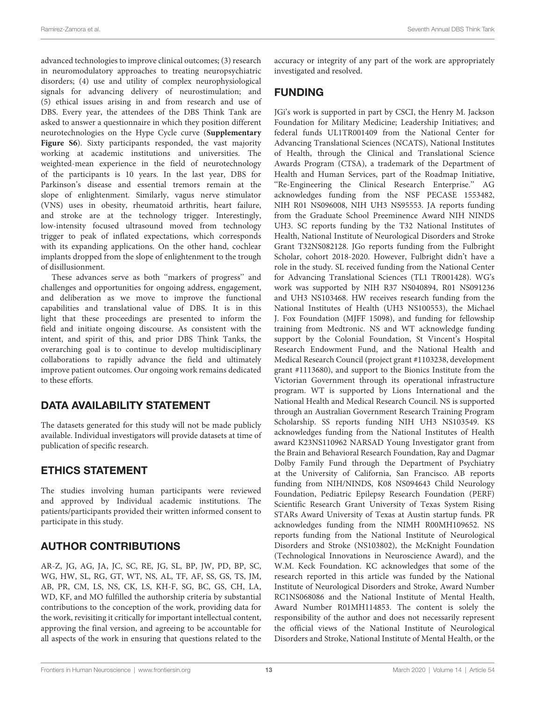advanced technologies to improve clinical outcomes; (3) research in neuromodulatory approaches to treating neuropsychiatric disorders; (4) use and utility of complex neurophysiological signals for advancing delivery of neurostimulation; and (5) ethical issues arising in and from research and use of DBS. Every year, the attendees of the DBS Think Tank are asked to answer a questionnaire in which they position different neurotechnologies on the Hype Cycle curve (**[Supplementary](#page-13-6) [Figure S6](#page-13-6)**). Sixty participants responded, the vast majority working at academic institutions and universities. The weighted-mean experience in the field of neurotechnology of the participants is 10 years. In the last year, DBS for Parkinson's disease and essential tremors remain at the slope of enlightenment. Similarly, vagus nerve stimulator (VNS) uses in obesity, rheumatoid arthritis, heart failure, and stroke are at the technology trigger. Interestingly, low-intensity focused ultrasound moved from technology trigger to peak of inflated expectations, which corresponds with its expanding applications. On the other hand, cochlear implants dropped from the slope of enlightenment to the trough of disillusionment.

These advances serve as both ''markers of progress'' and challenges and opportunities for ongoing address, engagement, and deliberation as we move to improve the functional capabilities and translational value of DBS. It is in this light that these proceedings are presented to inform the field and initiate ongoing discourse. As consistent with the intent, and spirit of this, and prior DBS Think Tanks, the overarching goal is to continue to develop multidisciplinary collaborations to rapidly advance the field and ultimately improve patient outcomes. Our ongoing work remains dedicated to these efforts.

# DATA AVAILABILITY STATEMENT

The datasets generated for this study will not be made publicly available. Individual investigators will provide datasets at time of publication of specific research.

# ETHICS STATEMENT

The studies involving human participants were reviewed and approved by Individual academic institutions. The patients/participants provided their written informed consent to participate in this study.

# AUTHOR CONTRIBUTIONS

AR-Z, JG, AG, JA, JC, SC, RE, JG, SL, BP, JW, PD, BP, SC, WG, HW, SL, RG, GT, WT, NS, AL, TF, AF, SS, GS, TS, JM, AB, PR, CM, LS, NS, CK, LS, KH-F, SG, BC, GS, CH, LA, WD, KF, and MO fulfilled the authorship criteria by substantial contributions to the conception of the work, providing data for the work, revisiting it critically for important intellectual content, approving the final version, and agreeing to be accountable for all aspects of the work in ensuring that questions related to the accuracy or integrity of any part of the work are appropriately investigated and resolved.

# FUNDING

JGi's work is supported in part by CSCI, the Henry M. Jackson Foundation for Military Medicine; Leadership Initiatives; and federal funds UL1TR001409 from the National Center for Advancing Translational Sciences (NCATS), National Institutes of Health, through the Clinical and Translational Science Awards Program (CTSA), a trademark of the Department of Health and Human Services, part of the Roadmap Initiative, ''Re-Engineering the Clinical Research Enterprise.'' AG acknowledges funding from the NSF PECASE 1553482, NIH R01 NS096008, NIH UH3 NS95553. JA reports funding from the Graduate School Preeminence Award NIH NINDS UH3. SC reports funding by the T32 National Institutes of Health, National Institute of Neurological Disorders and Stroke Grant T32NS082128. JGo reports funding from the Fulbright Scholar, cohort 2018-2020. However, Fulbright didn't have a role in the study. SL received funding from the National Center for Advancing Translational Sciences (TL1 TR001428). WG's work was supported by NIH R37 NS040894, R01 NS091236 and UH3 NS103468. HW receives research funding from the National Institutes of Health (UH3 NS100553), the Michael J. Fox Foundation (MJFF 15098), and funding for fellowship training from Medtronic. NS and WT acknowledge funding support by the Colonial Foundation, St Vincent's Hospital Research Endowment Fund, and the National Health and Medical Research Council (project grant #1103238, development grant #1113680), and support to the Bionics Institute from the Victorian Government through its operational infrastructure program. WT is supported by Lions International and the National Health and Medical Research Council. NS is supported through an Australian Government Research Training Program Scholarship. SS reports funding NIH UH3 NS103549. KS acknowledges funding from the National Institutes of Health award K23NS110962 NARSAD Young Investigator grant from the Brain and Behavioral Research Foundation, Ray and Dagmar Dolby Family Fund through the Department of Psychiatry at the University of California, San Francisco. AB reports funding from NIH/NINDS, K08 NS094643 Child Neurology Foundation, Pediatric Epilepsy Research Foundation (PERF) Scientific Research Grant University of Texas System Rising STARs Award University of Texas at Austin startup funds. PR acknowledges funding from the NIMH R00MH109652. NS reports funding from the National Institute of Neurological Disorders and Stroke (NS103802), the McKnight Foundation (Technological Innovations in Neuroscience Award), and the W.M. Keck Foundation. KC acknowledges that some of the research reported in this article was funded by the National Institute of Neurological Disorders and Stroke, Award Number RC1NS068086 and the National Institute of Mental Health, Award Number R01MH114853. The content is solely the responsibility of the author and does not necessarily represent the official views of the National Institute of Neurological Disorders and Stroke, National Institute of Mental Health, or the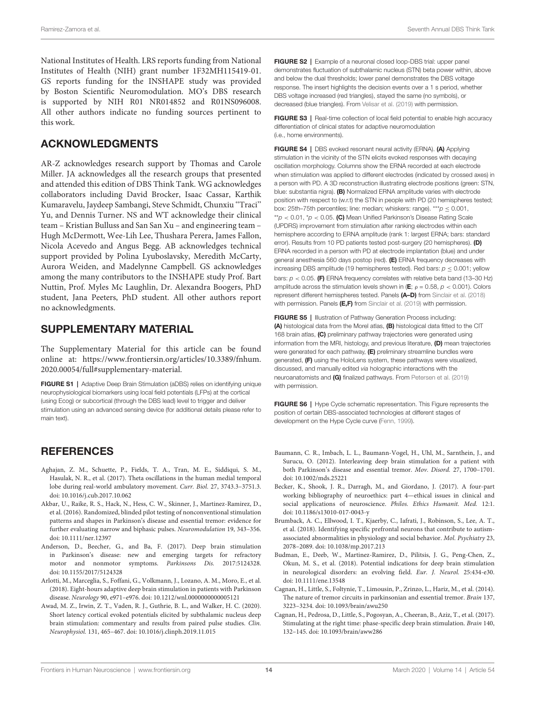National Institutes of Health. LRS reports funding from National Institutes of Health (NIH) grant number 1F32MH115419-01. GS reports funding for the INSHAPE study was provided by Boston Scientific Neuromodulation. MO's DBS research is supported by NIH R01 NR014852 and R01NS096008. All other authors indicate no funding sources pertinent to this work.

### ACKNOWLEDGMENTS

AR-Z acknowledges research support by Thomas and Carole Miller. JA acknowledges all the research groups that presented and attended this edition of DBS Think Tank. WG acknowledges collaborators including David Brocker, Isaac Cassar, Karthik Kumaravelu, Jaydeep Sambangi, Steve Schmidt, Chunxiu ''Traci'' Yu, and Dennis Turner. NS and WT acknowledge their clinical team – Kristian Bulluss and San San Xu – and engineering team – Hugh McDermott, Wee-Lih Lee, Thushara Perera, James Fallon, Nicola Acevedo and Angus Begg. AB acknowledges technical support provided by Polina Lyuboslavsky, Meredith McCarty, Aurora Weiden, and Madelynne Campbell. GS acknowledges among the many contributors to the INSHAPE study Prof. Bart Nuttin, Prof. Myles Mc Laughlin, Dr. Alexandra Boogers, PhD student, Jana Peeters, PhD student. All other authors report no acknowledgments.

### SUPPLEMENTARY MATERIAL

The Supplementary Material for this article can be found online at: [https://www.frontiersin.org/articles/10.3389/fnhum.](https://www.frontiersin.org/articles/10.3389/fnhum.2020.00054/full#supplementary-material) [2020.00054/full#supplementary-material.](https://www.frontiersin.org/articles/10.3389/fnhum.2020.00054/full#supplementary-material)

<span id="page-13-0"></span>FIGURE S1 | Adaptive Deep Brain Stimulation (aDBS) relies on identifying unique neurophysiological biomarkers using local field potentials (LFPs) at the cortical (using Ecog) or subcortical (through the DBS lead) level to trigger and deliver stimulation using an advanced sensing device (for additional details please refer to main text).

### **REFERENCES**

- Aghajan, Z. M., Schuette, P., Fields, T. A., Tran, M. E., Siddiqui, S. M., Hasulak, N. R., et al. (2017). Theta oscillations in the human medial temporal lobe during real-world ambulatory movement. Curr. Biol. 27, 3743.3–3751.3. [doi: 10.1016/j.cub.2017.10.062](https://doi.org/10.1016/j.cub.2017.10.062)
- Akbar, U., Raike, R. S., Hack, N., Hess, C. W., Skinner, J., Martinez-Ramirez, D., et al. (2016). Randomized, blinded pilot testing of nonconventional stimulation patterns and shapes in Parkinson's disease and essential tremor: evidence for further evaluating narrow and biphasic pulses. Neuromodulation 19, 343–356. [doi: 10.1111/ner.12397](https://doi.org/10.1111/ner.12397)
- Anderson, D., Beecher, G., and Ba, F. (2017). Deep brain stimulation in Parkinson's disease: new and emerging targets for refractory motor and nonmotor symptoms. Parkinsons Dis. 2017:5124328. [doi: 10.1155/2017/5124328](https://doi.org/10.1155/2017/5124328)
- <span id="page-13-1"></span>Arlotti, M., Marceglia, S., Foffani, G., Volkmann, J., Lozano, A. M., Moro, E., et al. (2018). Eight-hours adaptive deep brain stimulation in patients with Parkinson disease. Neurology 90, e971–e976. [doi: 10.1212/wnl.0000000000005121](https://doi.org/10.1212/wnl.0000000000005121)
- Awad, M. Z., Irwin, Z. T., Vaden, R. J., Guthrie, B. L., and Walker, H. C. (2020). Short latency cortical evoked potentials elicited by subthalamic nucleus deep brain stimulation: commentary and results from paired pulse studies. Clin. Neurophysiol. 131, 465–467. [doi: 10.1016/j.clinph.2019.11.015](https://doi.org/10.1016/j.clinph.2019.11.015)

<span id="page-13-2"></span>FIGURE S2 | Example of a neuronal closed loop-DBS trial: upper panel demonstrates fluctuation of subthalamic nucleus (STN) beta power within, above and below the dual thresholds; lower panel demonstrates the DBS voltage response. The insert highlights the decision events over a 1 s period, whether DBS voltage increased (red triangles), stayed the same (no symbols), or decreased (blue triangles). From [Velisar et al.](#page-16-2) [\(2019\)](#page-16-2) with permission.

<span id="page-13-5"></span>**FIGURE S3** | Real-time collection of local field potential to enable high accuracy differentiation of clinical states for adaptive neuromodulation (i.e., home environments).

FIGURE S4 | DBS evoked resonant neural activity (ERNA). (A) Applying stimulation in the vicinity of the STN elicits evoked responses with decaying oscillation morphology. Columns show the ERNA recorded at each electrode when stimulation was applied to different electrodes (indicated by crossed axes) in a person with PD. A 3D reconstruction illustrating electrode positions (green: STN, blue: substantia nigra). (B) Normalized ERNA amplitude varies with electrode position with respect to (w.r.t) the STN in people with PD (20 hemispheres tested; box: 25th–75th percentiles; line: median; whiskers: range). \*\*\* $p \le 0.001$ , \*\* $p$  < 0.01, \* $p$  < 0.05. (C) Mean Unified Parkinson's Disease Rating Scale (UPDRS) improvement from stimulation after ranking electrodes within each hemisphere according to ERNA amplitude (rank 1: largest ERNA; bars: standard error). Results from 10 PD patients tested post-surgery (20 hemispheres). (D) ERNA recorded in a person with PD at electrode implantation (blue) and under general anesthesia 560 days postop (red). (E) ERNA frequency decreases with increasing DBS amplitude (19 hemispheres tested). Red bars:  $p \le 0.001$ ; yellow bars:  $p < 0.05$ . (F) ERNA frequency correlates with relative beta band (13-30 Hz) amplitude across the stimulation levels shown in (E;  $\rho = 0.58$ ,  $p < 0.001$ ). Colors represent different hemispheres tested. Panels (A-D) from [Sinclair et al.](#page-15-19) [\(2018\)](#page-15-19) with permission. Panels (E,F) from [Sinclair et al.](#page-15-20) [\(2019\)](#page-15-20) with permission.

FIGURE S5 | Illustration of Pathway Generation Process including: (A) histological data from the Morel atlas, (B) histological data fitted to the CIT 168 brain atlas, (C) preliminary pathway trajectories were generated using information from the MRI, histology, and previous literature, (D) mean trajectories were generated for each pathway, (E) preliminary streamline bundles were generated, (F) using the HoloLens system, these pathways were visualized, discussed, and manually edited via holographic interactions with the neuroanatomists and (G) finalized pathways. From [Petersen et al.](#page-15-21) [\(2019\)](#page-15-21) with permission.

<span id="page-13-6"></span>FIGURE S6 | Hype Cycle schematic representation. This Figure represents the position of certain DBS-associated technologies at different stages of development on the Hype Cycle curve [\(Fenn,](#page-14-10) [1999\)](#page-14-10).

- Baumann, C. R., Imbach, L. L., Baumann-Vogel, H., Uhl, M., Sarnthein, J., and Surucu, O. (2012). Interleaving deep brain stimulation for a patient with both Parkinson's disease and essential tremor. Mov. Disord. 27, 1700–1701. [doi: 10.1002/mds.25221](https://doi.org/10.1002/mds.25221)
- Becker, K., Shook, J. R., Darragh, M., and Giordano, J. (2017). A four-part working bibliography of neuroethics: part 4—ethical issues in clinical and social applications of neuroscience. Philos. Ethics Humanit. Med. 12:1. [doi: 10.1186/s13010-017-0043-y](https://doi.org/10.1186/s13010-017-0043-y)
- Brumback, A. C., Ellwood, I. T., Kjaerby, C., Iafrati, J., Robinson, S., Lee, A. T., et al. (2018). Identifying specific prefrontal neurons that contribute to autismassociated abnormalities in physiology and social behavior. Mol. Psychiatry 23, 2078–2089. [doi: 10.1038/mp.2017.213](https://doi.org/10.1038/mp.2017.213)
- Budman, E., Deeb, W., Martinez-Ramirez, D., Pilitsis, J. G., Peng-Chen, Z., Okun, M. S., et al. (2018). Potential indications for deep brain stimulation in neurological disorders: an evolving field. Eur. J. Neurol. 25:434-e30. [doi: 10.1111/ene.13548](https://doi.org/10.1111/ene.13548)
- <span id="page-13-3"></span>Cagnan, H., Little, S., Foltynie, T., Limousin, P., Zrinzo, L., Hariz, M., et al. (2014). The nature of tremor circuits in parkinsonian and essential tremor. Brain 137, 3223–3234. [doi: 10.1093/brain/awu250](https://doi.org/10.1093/brain/awu250)
- <span id="page-13-4"></span>Cagnan, H., Pedrosa, D., Little, S., Pogosyan, A., Cheeran, B., Aziz, T., et al. (2017). Stimulating at the right time: phase-specific deep brain stimulation. Brain 140, 132–145. [doi: 10.1093/brain/aww286](https://doi.org/10.1093/brain/aww286)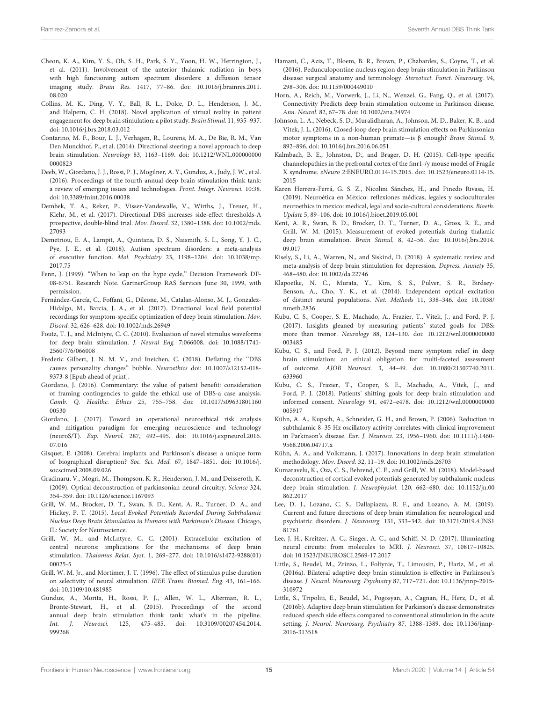- Cheon, K. A., Kim, Y. S., Oh, S. H., Park, S. Y., Yoon, H. W., Herrington, J., et al. (2011). Involvement of the anterior thalamic radiation in boys with high functioning autism spectrum disorders: a diffusion tensor imaging study. Brain Res. 1417, 77–86. [doi: 10.1016/j.brainres.2011.](https://doi.org/10.1016/j.brainres.2011.08.020) [08.020](https://doi.org/10.1016/j.brainres.2011.08.020)
- Collins, M. K., Ding, V. Y., Ball, R. L., Dolce, D. L., Henderson, J. M., and Halpern, C. H. (2018). Novel application of virtual reality in patient engagement for deep brain stimulation: a pilot study. Brain Stimul. 11, 935–937. [doi: 10.1016/j.brs.2018.03.012](https://doi.org/10.1016/j.brs.2018.03.012)
- <span id="page-14-7"></span>Contarino, M. F., Bour, L. J., Verhagen, R., Lourens, M. A., De Bie, R. M., Van Den Munckhof, P., et al. (2014). Directional steering: a novel approach to deep brain stimulation. Neurology 83, 1163–1169. [doi: 10.1212/WNL.000000000](https://doi.org/10.1212/WNL.0000000000000823) [0000823](https://doi.org/10.1212/WNL.0000000000000823)
- <span id="page-14-1"></span>Deeb, W., Giordano, J. J., Rossi, P. J., Mogilner, A. Y., Gunduz, A., Judy, J. W., et al. (2016). Proceedings of the fourth annual deep brain stimulation think tank: a review of emerging issues and technologies. Front. Integr. Neurosci. 10:38. [doi: 10.3389/fnint.2016.00038](https://doi.org/10.3389/fnint.2016.00038)
- <span id="page-14-8"></span>Dembek, T. A., Reker, P., Visser-Vandewalle, V., Wirths, J., Treuer, H., Klehr, M., et al. (2017). Directional DBS increases side-effect thresholds-A prospective, double-blind trial. Mov. Disord. 32, 1380–1388. [doi: 10.1002/mds.](https://doi.org/10.1002/mds.27093) [27093](https://doi.org/10.1002/mds.27093)
- Demetriou, E. A., Lampit, A., Quintana, D. S., Naismith, S. L., Song, Y. J. C., Pye, J. E., et al. (2018). Autism spectrum disorders: a meta-analysis of executive function. Mol. Psychiatry 23, 1198–1204. [doi: 10.1038/mp.](https://doi.org/10.1038/mp.2017.75) [2017.75](https://doi.org/10.1038/mp.2017.75)
- <span id="page-14-10"></span>Fenn, J. (1999). "When to leap on the hype cycle," Decision Framework DF-08-6751. Research Note. GartnerGroup RAS Services June 30, 1999, with permission.
- <span id="page-14-9"></span>Fernández-García, C., Foffani, G., Dileone, M., Catalan-Alonso, M. J., Gonzalez-Hidalgo, M., Barcia, J. A., et al. (2017). Directional local field potential recordings for symptom-specific optimization of deep brain stimulation. Mov. Disord. 32, 626–628. [doi: 10.1002/mds.26949](https://doi.org/10.1002/mds.26949)
- Foutz, T. J., and McIntyre, C. C. (2010). Evaluation of novel stimulus waveforms for deep brain stimulation. J. Neural Eng. 7:066008. [doi: 10.1088/1741-](https://doi.org/10.1088/1741-2560/7/6/066008) [2560/7/6/066008](https://doi.org/10.1088/1741-2560/7/6/066008)
- Frederic Gilbert, J. N. M. V., and Ineichen, C. (2018). Deflating the ''DBS causes personality changes'' bubble. Neuroethics [doi: 10.1007/s12152-018-](https://doi.org/10.1007/s12152-018-9373-8) [9373-8](https://doi.org/10.1007/s12152-018-9373-8) [Epub ahead of print].
- Giordano, J. (2016). Commentary: the value of patient benefit: consideration of framing contingencies to guide the ethical use of DBS-a case analysis. Camb. Q. Healthc. Ethics 25, 755–758. [doi: 10.1017/s09631801160](https://doi.org/10.1017/s0963180116000530) [00530](https://doi.org/10.1017/s0963180116000530)
- Giordano, J. (2017). Toward an operational neuroethical risk analysis and mitigation paradigm for emerging neuroscience and technology (neuroS/T). Exp. Neurol. 287, 492–495. [doi: 10.1016/j.expneurol.2016.](https://doi.org/10.1016/j.expneurol.2016.07.016) [07.016](https://doi.org/10.1016/j.expneurol.2016.07.016)
- Gisquet, E. (2008). Cerebral implants and Parkinson's disease: a unique form of biographical disruption? Soc. Sci. Med. 67, 1847–1851. [doi: 10.1016/j.](https://doi.org/10.1016/j.socscimed.2008.09.026) [socscimed.2008.09.026](https://doi.org/10.1016/j.socscimed.2008.09.026)
- Gradinaru, V., Mogri, M., Thompson, K. R., Henderson, J. M., and Deisseroth, K. (2009). Optical deconstruction of parkinsonian neural circuitry. Science 324, 354–359. [doi: 10.1126/science.1167093](https://doi.org/10.1126/science.1167093)
- Grill, W. M., Brocker, D. T., Swan, B. D., Kent, A. R., Turner, D. A., and Hickey, P. T. (2015). Local Evoked Potentials Recorded During Subthalamic Nucleus Deep Brain Stimulation in Humans with Parkinson's Disease. Chicago, IL: Society for Neuroscience.
- Grill, W. M., and McLntyre, C. C. (2001). Extracellular excitation of central neurons: implications for the mechanisms of deep brain stimulation. Thalamus Relat. Syst. 1, 269–277. [doi: 10.1016/s1472-9288\(01\)](https://doi.org/10.1016/s1472-9288(01)00025-5) [00025-5](https://doi.org/10.1016/s1472-9288(01)00025-5)
- Grill, W. M. Jr., and Mortimer, J. T. (1996). The effect of stimulus pulse duration on selectivity of neural stimulation. IEEE Trans. Biomed. Eng. 43, 161–166. [doi: 10.1109/10.481985](https://doi.org/10.1109/10.481985)
- <span id="page-14-0"></span>Gunduz, A., Morita, H., Rossi, P. J., Allen, W. L., Alterman, R. L., Bronte-Stewart, H., et al. (2015). Proceedings of the second annual deep brain stimulation think tank: what's in the pipeline. Int. J. Neurosci. 125, 475–485. [doi: 10.3109/00207454.2014.](https://doi.org/10.3109/00207454.2014.999268) [999268](https://doi.org/10.3109/00207454.2014.999268)
- Hamani, C., Aziz, T., Bloem, B. R., Brown, P., Chabardes, S., Coyne, T., et al. (2016). Pedunculopontine nucleus region deep brain stimulation in Parkinson disease: surgical anatomy and terminology. Stereotact. Funct. Neurosurg. 94, 298–306. [doi: 10.1159/000449010](https://doi.org/10.1159/000449010)
- Horn, A., Reich, M., Vorwerk, J., Li, N., Wenzel, G., Fang, Q., et al. (2017). Connectivity Predicts deep brain stimulation outcome in Parkinson disease. Ann. Neurol. 82, 67–78. [doi: 10.1002/ana.24974](https://doi.org/10.1002/ana.24974)
- <span id="page-14-5"></span>Johnson, L. A., Nebeck, S. D., Muralidharan, A., Johnson, M. D., Baker, K. B., and Vitek, J. L. (2016). Closed-loop deep brain stimulation effects on Parkinsonian motor symptoms in a non-human primate—is β enough? Brain Stimul. 9, 892–896. [doi: 10.1016/j.brs.2016.06.051](https://doi.org/10.1016/j.brs.2016.06.051)
- Kalmbach, B. E., Johnston, D., and Brager, D. H. (2015). Cell-type specific channelopathies in the prefrontal cortex of the fmr1-/y mouse model of Fragile X syndrome. eNeuro 2:ENEURO.0114-15.2015. [doi: 10.1523/eneuro.0114-15.](https://doi.org/10.1523/eneuro.0114-15.2015) [2015](https://doi.org/10.1523/eneuro.0114-15.2015)
- Karen Herrera-Ferrá, G. S. Z., Nicolini Sánchez, H., and Pinedo Rivasa, H. (2019). Neuroética en México: reflexiones médicas, legales y socioculturales neuroethics in mexico: medical, legal and socio-cultural considerations. Bioeth. Update 5, 89–106. [doi: 10.1016/j.bioet.2019.05.001](https://doi.org/10.1016/j.bioet.2019.05.001)
- Kent, A. R., Swan, B. D., Brocker, D. T., Turner, D. A., Gross, R. E., and Grill, W. M. (2015). Measurement of evoked potentials during thalamic deep brain stimulation. Brain Stimul. 8, 42–56. [doi: 10.1016/j.brs.2014.](https://doi.org/10.1016/j.brs.2014.09.017) [09.017](https://doi.org/10.1016/j.brs.2014.09.017)
- Kisely, S., Li, A., Warren, N., and Siskind, D. (2018). A systematic review and meta-analysis of deep brain stimulation for depression. Depress. Anxiety 35, 468–480. [doi: 10.1002/da.22746](https://doi.org/10.1002/da.22746)
- Klapoetke, N. C., Murata, Y., Kim, S. S., Pulver, S. R., Birdsey-Benson, A., Cho, Y. K., et al. (2014). Independent optical excitation of distinct neural populations. Nat. Methods 11, 338–346. [doi: 10.1038/](https://doi.org/10.1038/nmeth.2836) [nmeth.2836](https://doi.org/10.1038/nmeth.2836)
- Kubu, C. S., Cooper, S. E., Machado, A., Frazier, T., Vitek, J., and Ford, P. J. (2017). Insights gleaned by measuring patients' stated goals for DBS: more than tremor. Neurology 88, 124–130. [doi: 10.1212/wnl.0000000000](https://doi.org/10.1212/wnl.0000000000003485) [003485](https://doi.org/10.1212/wnl.0000000000003485)
- Kubu, C. S., and Ford, P. J. (2012). Beyond mere symptom relief in deep brain stimulation: an ethical obligation for multi-faceted assessment of outcome. AJOB Neurosci. 3, 44–49. [doi: 10.1080/21507740.2011.](https://doi.org/10.1080/21507740.2011.633960) [633960](https://doi.org/10.1080/21507740.2011.633960)
- Kubu, C. S., Frazier, T., Cooper, S. E., Machado, A., Vitek, J., and Ford, P. J. (2018). Patients' shifting goals for deep brain stimulation and informed consent. Neurology 91, e472–e478. [doi: 10.1212/wnl.0000000000](https://doi.org/10.1212/wnl.0000000000005917) [005917](https://doi.org/10.1212/wnl.0000000000005917)
- <span id="page-14-2"></span>Kühn, A. A., Kupsch, A., Schneider, G. H., and Brown, P. (2006). Reduction in subthalamic 8–35 Hz oscillatory activity correlates with clinical improvement in Parkinson's disease. Eur. J. Neurosci. 23, 1956–1960. [doi: 10.1111/j.1460-](https://doi.org/10.1111/j.1460-9568.2006.04717.x) [9568.2006.04717.x](https://doi.org/10.1111/j.1460-9568.2006.04717.x)
- <span id="page-14-6"></span>Kühn, A. A., and Volkmann, J. (2017). Innovations in deep brain stimulation methodology. Mov. Disord. 32, 11–19. [doi: 10.1002/mds.26703](https://doi.org/10.1002/mds.26703)
- Kumaravelu, K., Oza, C. S., Behrend, C. E., and Grill, W. M. (2018). Model-based deconstruction of cortical evoked potentials generated by subthalamic nucleus deep brain stimulation. J. Neurophysiol. 120, 662–680. [doi: 10.1152/jn.00](https://doi.org/10.1152/jn.00862.2017) [862.2017](https://doi.org/10.1152/jn.00862.2017)
- Lee, D. J., Lozano, C. S., Dallapiazza, R. F., and Lozano, A. M. (2019). Current and future directions of deep brain stimulation for neurological and psychiatric disorders. J. Neurosurg. 131, 333–342. [doi: 10.3171/2019.4.JNS1](https://doi.org/10.3171/2019.4.JNS181761) [81761](https://doi.org/10.3171/2019.4.JNS181761)
- Lee, J. H., Kreitzer, A. C., Singer, A. C., and Schiff, N. D. (2017). Illuminating neural circuits: from molecules to MRI. J. Neurosci. 37, 10817–10825. [doi: 10.1523/JNEUROSCI.2569-17.2017](https://doi.org/10.1523/JNEUROSCI.2569-17.2017)
- <span id="page-14-3"></span>Little, S., Beudel, M., Zrinzo, L., Foltynie, T., Limousin, P., Hariz, M., et al. (2016a). Bilateral adaptive deep brain stimulation is effective in Parkinson's disease. J. Neurol. Neurosurg. Psychiatry 87, 717–721. [doi: 10.1136/jnnp-2015-](https://doi.org/10.1136/jnnp-2015-310972) [310972](https://doi.org/10.1136/jnnp-2015-310972)
- <span id="page-14-4"></span>Little, S., Tripoliti, E., Beudel, M., Pogosyan, A., Cagnan, H., Herz, D., et al. (2016b). Adaptive deep brain stimulation for Parkinson's disease demonstrates reduced speech side effects compared to conventional stimulation in the acute setting. J. Neurol. Neurosurg. Psychiatry 87, 1388-1389. [doi: 10.1136/jnnp-](https://doi.org/10.1136/jnnp-2016-313518)[2016-313518](https://doi.org/10.1136/jnnp-2016-313518)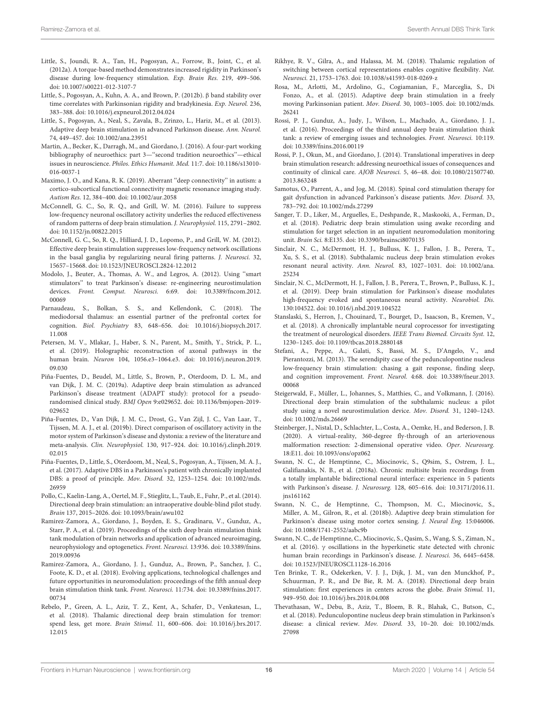- <span id="page-15-3"></span>Little, S., Joundi, R. A., Tan, H., Pogosyan, A., Forrow, B., Joint, C., et al. (2012a). A torque-based method demonstrates increased rigidity in Parkinson's disease during low-frequency stimulation. Exp. Brain Res. 219, 499–506. [doi: 10.1007/s00221-012-3107-7](https://doi.org/10.1007/s00221-012-3107-7)
- <span id="page-15-4"></span>Little, S., Pogosyan, A., Kuhn, A. A., and Brown, P. (2012b). β band stability over time correlates with Parkinsonian rigidity and bradykinesia. Exp. Neurol. 236, 383–388. [doi: 10.1016/j.expneurol.2012.04.024](https://doi.org/10.1016/j.expneurol.2012.04.024)
- <span id="page-15-5"></span>Little, S., Pogosyan, A., Neal, S., Zavala, B., Zrinzo, L., Hariz, M., et al. (2013). Adaptive deep brain stimulation in advanced Parkinson disease. Ann. Neurol. 74, 449–457. [doi: 10.1002/ana.23951](https://doi.org/10.1002/ana.23951)
- Martin, A., Becker, K., Darragh, M., and Giordano, J. (2016). A four-part working bibliography of neuroethics: part 3—''second tradition neuroethics''—ethical issues in neuroscience. Philos. Ethics Humanit. Med. 11:7. [doi: 10.1186/s13010-](https://doi.org/10.1186/s13010-016-0037-1) [016-0037-1](https://doi.org/10.1186/s13010-016-0037-1)
- Maximo, J. O., and Kana, R. K. (2019). Aberrant ''deep connectivity'' in autism: a cortico-subcortical functional connectivity magnetic resonance imaging study. Autism Res. 12, 384–400. [doi: 10.1002/aur.2058](https://doi.org/10.1002/aur.2058)
- McConnell, G. C., So, R. Q., and Grill, W. M. (2016). Failure to suppress low-frequency neuronal oscillatory activity underlies the reduced effectiveness of random patterns of deep brain stimulation. J. Neurophysiol. 115, 2791–2802. [doi: 10.1152/jn.00822.2015](https://doi.org/10.1152/jn.00822.2015)
- McConnell, G. C., So, R. Q., Hilliard, J. D., Lopomo, P., and Grill, W. M. (2012). Effective deep brain stimulation suppresses low-frequency network oscillations in the basal ganglia by regularizing neural firing patterns. J. Neurosci. 32, 15657–15668. [doi: 10.1523/JNEUROSCI.2824-12.2012](https://doi.org/10.1523/JNEUROSCI.2824-12.2012)
- <span id="page-15-12"></span>Modolo, J., Beuter, A., Thomas, A. W., and Legros, A. (2012). Using ''smart stimulators'' to treat Parkinson's disease: re-engineering neurostimulation devices. Front. Comput. Neurosci. 6:69. [doi: 10.3389/fncom.2012.](https://doi.org/10.3389/fncom.2012.00069) [00069](https://doi.org/10.3389/fncom.2012.00069)
- Parnaudeau, S., Bolkan, S. S., and Kellendonk, C. (2018). The mediodorsal thalamus: an essential partner of the prefrontal cortex for cognition. Biol. Psychiatry 83, 648–656. [doi: 10.1016/j.biopsych.2017.](https://doi.org/10.1016/j.biopsych.2017.11.008) [11.008](https://doi.org/10.1016/j.biopsych.2017.11.008)
- <span id="page-15-21"></span>Petersen, M. V., Mlakar, J., Haber, S. N., Parent, M., Smith, Y., Strick, P. L., et al. (2019). Holographic reconstruction of axonal pathways in the human brain. Neuron 104, 1056.e3–1064.e3. [doi: 10.1016/j.neuron.2019.](https://doi.org/10.1016/j.neuron.2019.09.030) [09.030](https://doi.org/10.1016/j.neuron.2019.09.030)
- <span id="page-15-8"></span>Piña-Fuentes, D., Beudel, M., Little, S., Brown, P., Oterdoom, D. L. M., and van Dijk, J. M. C. (2019a). Adaptive deep brain stimulation as advanced Parkinson's disease treatment (ADAPT study): protocol for a pseudorandomised clinical study. BMJ Open 9:e029652. [doi: 10.1136/bmjopen-2019-](https://doi.org/10.1136/bmjopen-2019-029652) [029652](https://doi.org/10.1136/bmjopen-2019-029652)
- <span id="page-15-11"></span>Piña-Fuentes, D., Van Dijk, J. M. C., Drost, G., Van Zijl, J. C., Van Laar, T., Tijssen, M. A. J., et al. (2019b). Direct comparison of oscillatory activity in the motor system of Parkinson's disease and dystonia: a review of the literature and meta-analysis. Clin. Neurophysiol. 130, 917–924. [doi: 10.1016/j.clinph.2019.](https://doi.org/10.1016/j.clinph.2019.02.015) [02.015](https://doi.org/10.1016/j.clinph.2019.02.015)
- <span id="page-15-7"></span>Piña-Fuentes, D., Little, S., Oterdoom, M., Neal, S., Pogosyan, A., Tijssen, M. A. J., et al. (2017). Adaptive DBS in a Parkinson's patient with chronically implanted DBS: a proof of principle. Mov. Disord. 32, 1253–1254. [doi: 10.1002/mds.](https://doi.org/10.1002/mds.26959) [26959](https://doi.org/10.1002/mds.26959)
- <span id="page-15-15"></span>Pollo, C., Kaelin-Lang, A., Oertel, M. F., Stieglitz, L., Taub, E., Fuhr, P., et al. (2014). Directional deep brain stimulation: an intraoperative double-blind pilot study. Brain 137, 2015–2026. [doi: 10.1093/brain/awu102](https://doi.org/10.1093/brain/awu102)
- <span id="page-15-2"></span>Ramirez-Zamora, A., Giordano, J., Boyden, E. S., Gradinaru, V., Gunduz, A., Starr, P. A., et al. (2019). Proceedings of the sixth deep brain stimulation think tank modulation of brain networks and application of advanced neuroimaging, neurophysiology and optogenetics. Front. Neurosci. 13:936. [doi: 10.3389/fnins.](https://doi.org/10.3389/fnins.2019.00936) [2019.00936](https://doi.org/10.3389/fnins.2019.00936)
- <span id="page-15-1"></span>Ramirez-Zamora, A., Giordano, J. J., Gunduz, A., Brown, P., Sanchez, J. C., Foote, K. D., et al. (2018). Evolving applications, technological challenges and future opportunities in neuromodulation: proceedings of the fifth annual deep brain stimulation think tank. Front. Neurosci. 11:734. [doi: 10.3389/fnins.2017.](https://doi.org/10.3389/fnins.2017.00734) [00734](https://doi.org/10.3389/fnins.2017.00734)
- <span id="page-15-17"></span>Rebelo, P., Green, A. L., Aziz, T. Z., Kent, A., Schafer, D., Venkatesan, L., et al. (2018). Thalamic directional deep brain stimulation for tremor: spend less, get more. Brain Stimul. 11, 600–606. [doi: 10.1016/j.brs.2017.](https://doi.org/10.1016/j.brs.2017.12.015) [12.015](https://doi.org/10.1016/j.brs.2017.12.015)
- Rikhye, R. V., Gilra, A., and Halassa, M. M. (2018). Thalamic regulation of switching between cortical representations enables cognitive flexibility. Nat. Neurosci. 21, 1753–1763. [doi: 10.1038/s41593-018-0269-z](https://doi.org/10.1038/s41593-018-0269-z)
- <span id="page-15-6"></span>Rosa, M., Arlotti, M., Ardolino, G., Cogiamanian, F., Marceglia, S., Di Fonzo, A., et al. (2015). Adaptive deep brain stimulation in a freely moving Parkinsonian patient. Mov. Disord. 30, 1003–1005. [doi: 10.1002/mds.](https://doi.org/10.1002/mds.26241) [26241](https://doi.org/10.1002/mds.26241)
- <span id="page-15-0"></span>Rossi, P. J., Gunduz, A., Judy, J., Wilson, L., Machado, A., Giordano, J. J., et al. (2016). Proceedings of the third annual deep brain stimulation think tank: a review of emerging issues and technologies. Front. Neurosci. 10:119. [doi: 10.3389/fnins.2016.00119](https://doi.org/10.3389/fnins.2016.00119)
- Rossi, P. J., Okun, M., and Giordano, J. (2014). Translational imperatives in deep brain stimulation research: addressing neuroethical issues of consequences and continuity of clinical care. AJOB Neurosci. 5, 46–48. [doi: 10.1080/21507740.](https://doi.org/10.1080/21507740.2013.863248) [2013.863248](https://doi.org/10.1080/21507740.2013.863248)
- Samotus, O., Parrent, A., and Jog, M. (2018). Spinal cord stimulation therapy for gait dysfunction in advanced Parkinson's disease patients. Mov. Disord. 33, 783–792. [doi: 10.1002/mds.27299](https://doi.org/10.1002/mds.27299)
- Sanger, T. D., Liker, M., Arguelles, E., Deshpande, R., Maskooki, A., Ferman, D., et al. (2018). Pediatric deep brain stimulation using awake recording and stimulation for target selection in an inpatient neuromodulation monitoring unit. Brain Sci. 8:E135. [doi: 10.3390/brainsci8070135](https://doi.org/10.3390/brainsci8070135)
- <span id="page-15-19"></span>Sinclair, N. C., McDermott, H. J., Bulluss, K. J., Fallon, J. B., Perera, T., Xu, S. S., et al. (2018). Subthalamic nucleus deep brain stimulation evokes resonant neural activity. Ann. Neurol. 83, 1027–1031. [doi: 10.1002/ana.](https://doi.org/10.1002/ana.25234) [25234](https://doi.org/10.1002/ana.25234)
- <span id="page-15-20"></span>Sinclair, N. C., McDermott, H. J., Fallon, J. B., Perera, T., Brown, P., Bulluss, K. J., et al. (2019). Deep brain stimulation for Parkinson's disease modulates high-frequency evoked and spontaneous neural activity. Neurobiol. Dis. 130:104522. [doi: 10.1016/j.nbd.2019.104522](https://doi.org/10.1016/j.nbd.2019.104522)
- <span id="page-15-14"></span>Stanslaski, S., Herron, J., Chouinard, T., Bourget, D., Isaacson, B., Kremen, V., et al. (2018). A chronically implantable neural coprocessor for investigating the treatment of neurological disorders. IEEE Trans Biomed. Circuits Syst. 12, 1230–1245. [doi: 10.1109/tbcas.2018.2880148](https://doi.org/10.1109/tbcas.2018.2880148)
- Stefani, A., Peppe, A., Galati, S., Bassi, M. S., D'Angelo, V., and Pierantozzi, M. (2013). The serendipity case of the pedunculopontine nucleus low-frequency brain stimulation: chasing a gait response, finding sleep, and cognition improvement. Front. Neurol. 4:68. [doi: 10.3389/fneur.2013.](https://doi.org/10.3389/fneur.2013.00068) [00068](https://doi.org/10.3389/fneur.2013.00068)
- <span id="page-15-16"></span>Steigerwald, F., Müller, L., Johannes, S., Matthies, C., and Volkmann, J. (2016). Directional deep brain stimulation of the subthalamic nucleus: a pilot study using a novel neurostimulation device. Mov. Disord. 31, 1240–1243. [doi: 10.1002/mds.26669](https://doi.org/10.1002/mds.26669)
- Steinberger, J., Nistal, D., Schlachter, L., Costa, A., Oemke, H., and Bederson, J. B. (2020). A virtual-reality, 360-degree fly-through of an arteriovenous malformation resection: 2-dimensional operative video. Oper. Neurosurg. 18:E11. [doi: 10.1093/ons/opz062](https://doi.org/10.1093/ons/opz062)
- <span id="page-15-13"></span>Swann, N. C., de Hemptinne, C., Miocinovic, S., Q9sim, S., Ostrem, J. L., Galifianakis, N. B., et al. (2018a). Chronic multisite brain recordings from a totally implantable bidirectional neural interface: experience in 5 patients with Parkinson's disease. J. Neurosurg. 128, 605–616. [doi: 10.3171/2016.11.](https://doi.org/10.3171/2016.11.jns161162) [jns161162](https://doi.org/10.3171/2016.11.jns161162)
- <span id="page-15-10"></span>Swann, N. C., de Hemptinne, C., Thompson, M. C., Miocinovic, S., Miller, A. M., Gilron, R., et al. (2018b). Adaptive deep brain stimulation for Parkinson's disease using motor cortex sensing. J. Neural Eng. 15:046006. [doi: 10.1088/1741-2552/aabc9b](https://doi.org/10.1088/1741-2552/aabc9b)
- <span id="page-15-9"></span>Swann, N. C., de Hemptinne, C., Miocinovic, S., Qasim, S., Wang, S. S., Ziman, N., et al. (2016).  $γ$  oscillations in the hyperkinetic state detected with chronic human brain recordings in Parkinson's disease. J. Neurosci. 36, 6445–6458. [doi: 10.1523/JNEUROSCI.1128-16.2016](https://doi.org/10.1523/JNEUROSCI.1128-16.2016)
- <span id="page-15-18"></span>Ten Brinke, T. R., Odekerken, V. J. J., Dijk, J. M., van den Munckhof, P., Schuurman, P. R., and De Bie, R. M. A. (2018). Directional deep brain stimulation: first experiences in centers across the globe. Brain Stimul. 11, 949–950. [doi: 10.1016/j.brs.2018.04.008](https://doi.org/10.1016/j.brs.2018.04.008)
- Thevathasan, W., Debu, B., Aziz, T., Bloem, B. R., Blahak, C., Butson, C., et al. (2018). Pedunculopontine nucleus deep brain stimulation in Parkinson's disease: a clinical review. Mov. Disord. 33, 10–20. [doi: 10.1002/mds.](https://doi.org/10.1002/mds.27098) [27098](https://doi.org/10.1002/mds.27098)